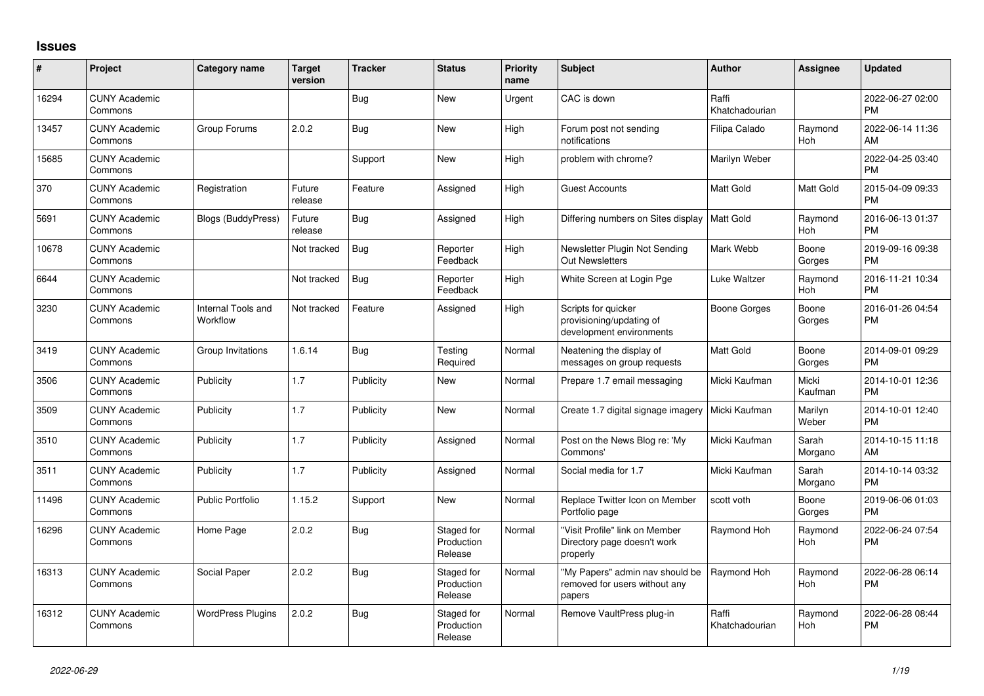## **Issues**

| #     | Project                         | <b>Category name</b>           | <b>Target</b><br>version | <b>Tracker</b> | <b>Status</b>                       | <b>Priority</b><br>name | <b>Subject</b>                                                              | <b>Author</b>           | <b>Assignee</b>       | <b>Updated</b>                |
|-------|---------------------------------|--------------------------------|--------------------------|----------------|-------------------------------------|-------------------------|-----------------------------------------------------------------------------|-------------------------|-----------------------|-------------------------------|
| 16294 | <b>CUNY Academic</b><br>Commons |                                |                          | Bug            | <b>New</b>                          | Urgent                  | CAC is down                                                                 | Raffi<br>Khatchadourian |                       | 2022-06-27 02:00<br><b>PM</b> |
| 13457 | <b>CUNY Academic</b><br>Commons | Group Forums                   | 2.0.2                    | Bug            | <b>New</b>                          | High                    | Forum post not sending<br>notifications                                     | Filipa Calado           | Raymond<br>Hoh        | 2022-06-14 11:36<br>AM        |
| 15685 | <b>CUNY Academic</b><br>Commons |                                |                          | Support        | <b>New</b>                          | High                    | problem with chrome?                                                        | Marilyn Weber           |                       | 2022-04-25 03:40<br><b>PM</b> |
| 370   | <b>CUNY Academic</b><br>Commons | Registration                   | Future<br>release        | Feature        | Assigned                            | High                    | <b>Guest Accounts</b>                                                       | Matt Gold               | <b>Matt Gold</b>      | 2015-04-09 09:33<br><b>PM</b> |
| 5691  | <b>CUNY Academic</b><br>Commons | <b>Blogs (BuddyPress)</b>      | Future<br>release        | Bug            | Assigned                            | High                    | Differing numbers on Sites display                                          | <b>Matt Gold</b>        | Raymond<br>Hoh        | 2016-06-13 01:37<br><b>PM</b> |
| 10678 | <b>CUNY Academic</b><br>Commons |                                | Not tracked              | <b>Bug</b>     | Reporter<br>Feedback                | High                    | Newsletter Plugin Not Sending<br>Out Newsletters                            | Mark Webb               | Boone<br>Gorges       | 2019-09-16 09:38<br><b>PM</b> |
| 6644  | <b>CUNY Academic</b><br>Commons |                                | Not tracked              | <b>Bug</b>     | Reporter<br>Feedback                | High                    | White Screen at Login Pge                                                   | <b>Luke Waltzer</b>     | Raymond<br>Hoh        | 2016-11-21 10:34<br><b>PM</b> |
| 3230  | <b>CUNY Academic</b><br>Commons | Internal Tools and<br>Workflow | Not tracked              | Feature        | Assigned                            | High                    | Scripts for quicker<br>provisioning/updating of<br>development environments | <b>Boone Gorges</b>     | Boone<br>Gorges       | 2016-01-26 04:54<br><b>PM</b> |
| 3419  | <b>CUNY Academic</b><br>Commons | Group Invitations              | 1.6.14                   | Bug            | Testing<br>Required                 | Normal                  | Neatening the display of<br>messages on group requests                      | Matt Gold               | Boone<br>Gorges       | 2014-09-01 09:29<br><b>PM</b> |
| 3506  | <b>CUNY Academic</b><br>Commons | Publicity                      | 1.7                      | Publicity      | New                                 | Normal                  | Prepare 1.7 email messaging                                                 | Micki Kaufman           | Micki<br>Kaufman      | 2014-10-01 12:36<br><b>PM</b> |
| 3509  | <b>CUNY Academic</b><br>Commons | Publicity                      | 1.7                      | Publicity      | <b>New</b>                          | Normal                  | Create 1.7 digital signage imagery                                          | Micki Kaufman           | Marilyn<br>Weber      | 2014-10-01 12:40<br><b>PM</b> |
| 3510  | <b>CUNY Academic</b><br>Commons | Publicity                      | 1.7                      | Publicity      | Assigned                            | Normal                  | Post on the News Blog re: 'My<br>Commons'                                   | Micki Kaufman           | Sarah<br>Morgano      | 2014-10-15 11:18<br>AM        |
| 3511  | <b>CUNY Academic</b><br>Commons | Publicity                      | 1.7                      | Publicity      | Assigned                            | Normal                  | Social media for 1.7                                                        | Micki Kaufman           | Sarah<br>Morgano      | 2014-10-14 03:32<br><b>PM</b> |
| 11496 | <b>CUNY Academic</b><br>Commons | <b>Public Portfolio</b>        | 1.15.2                   | Support        | New                                 | Normal                  | Replace Twitter Icon on Member<br>Portfolio page                            | scott voth              | Boone<br>Gorges       | 2019-06-06 01:03<br><b>PM</b> |
| 16296 | <b>CUNY Academic</b><br>Commons | Home Page                      | 2.0.2                    | Bug            | Staged for<br>Production<br>Release | Normal                  | 'Visit Profile" link on Member<br>Directory page doesn't work<br>properly   | Raymond Hoh             | Raymond<br>Hoh        | 2022-06-24 07:54<br><b>PM</b> |
| 16313 | <b>CUNY Academic</b><br>Commons | Social Paper                   | 2.0.2                    | <b>Bug</b>     | Staged for<br>Production<br>Release | Normal                  | 'My Papers" admin nav should be<br>removed for users without any<br>papers  | Raymond Hoh             | Raymond<br><b>Hoh</b> | 2022-06-28 06:14<br><b>PM</b> |
| 16312 | <b>CUNY Academic</b><br>Commons | <b>WordPress Plugins</b>       | 2.0.2                    | Bug            | Staged for<br>Production<br>Release | Normal                  | Remove VaultPress plug-in                                                   | Raffi<br>Khatchadourian | Raymond<br>Hoh        | 2022-06-28 08:44<br><b>PM</b> |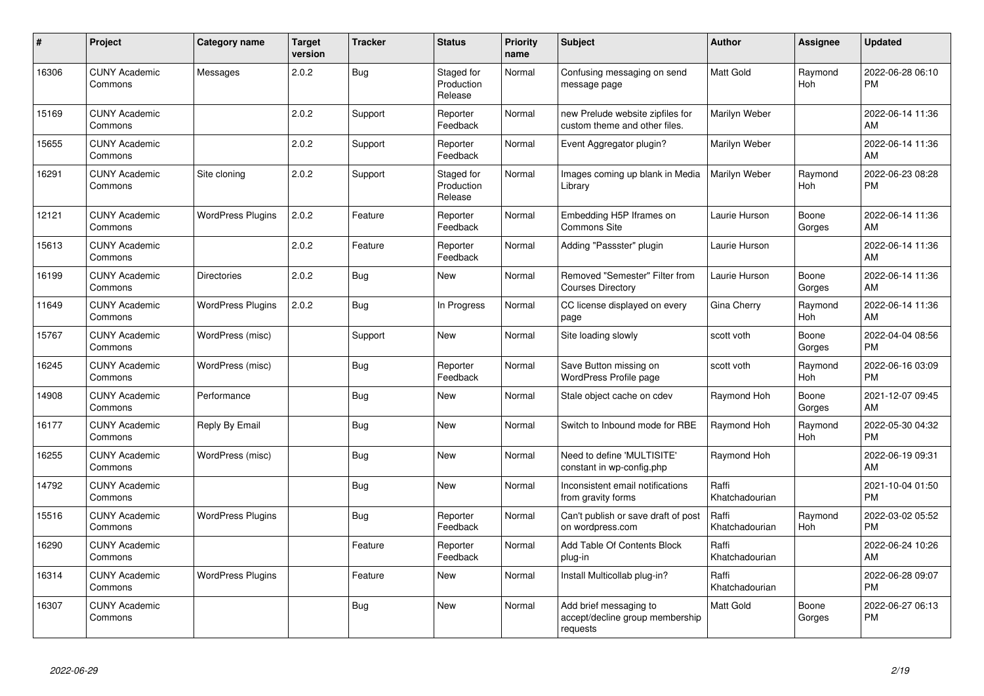| #     | <b>Project</b>                  | Category name            | <b>Target</b><br>version | <b>Tracker</b> | <b>Status</b>                       | <b>Priority</b><br>name | <b>Subject</b>                                                        | <b>Author</b>           | Assignee              | <b>Updated</b>                |
|-------|---------------------------------|--------------------------|--------------------------|----------------|-------------------------------------|-------------------------|-----------------------------------------------------------------------|-------------------------|-----------------------|-------------------------------|
| 16306 | <b>CUNY Academic</b><br>Commons | Messages                 | 2.0.2                    | Bug            | Staged for<br>Production<br>Release | Normal                  | Confusing messaging on send<br>message page                           | <b>Matt Gold</b>        | Raymond<br>Hoh        | 2022-06-28 06:10<br><b>PM</b> |
| 15169 | <b>CUNY Academic</b><br>Commons |                          | 2.0.2                    | Support        | Reporter<br>Feedback                | Normal                  | new Prelude website zipfiles for<br>custom theme and other files.     | Marilyn Weber           |                       | 2022-06-14 11:36<br>AM        |
| 15655 | <b>CUNY Academic</b><br>Commons |                          | 2.0.2                    | Support        | Reporter<br>Feedback                | Normal                  | Event Aggregator plugin?                                              | Marilyn Weber           |                       | 2022-06-14 11:36<br>AM        |
| 16291 | <b>CUNY Academic</b><br>Commons | Site cloning             | 2.0.2                    | Support        | Staged for<br>Production<br>Release | Normal                  | Images coming up blank in Media<br>Library                            | Marilyn Weber           | Raymond<br><b>Hoh</b> | 2022-06-23 08:28<br><b>PM</b> |
| 12121 | <b>CUNY Academic</b><br>Commons | <b>WordPress Plugins</b> | 2.0.2                    | Feature        | Reporter<br>Feedback                | Normal                  | Embedding H5P Iframes on<br><b>Commons Site</b>                       | Laurie Hurson           | Boone<br>Gorges       | 2022-06-14 11:36<br>AM        |
| 15613 | <b>CUNY Academic</b><br>Commons |                          | 2.0.2                    | Feature        | Reporter<br>Feedback                | Normal                  | Adding "Passster" plugin                                              | Laurie Hurson           |                       | 2022-06-14 11:36<br>AM        |
| 16199 | <b>CUNY Academic</b><br>Commons | <b>Directories</b>       | 2.0.2                    | Bug            | <b>New</b>                          | Normal                  | Removed "Semester" Filter from<br><b>Courses Directory</b>            | Laurie Hurson           | Boone<br>Gorges       | 2022-06-14 11:36<br>AM        |
| 11649 | <b>CUNY Academic</b><br>Commons | <b>WordPress Plugins</b> | 2.0.2                    | <b>Bug</b>     | In Progress                         | Normal                  | CC license displayed on every<br>page                                 | Gina Cherry             | Raymond<br><b>Hoh</b> | 2022-06-14 11:36<br>AM        |
| 15767 | <b>CUNY Academic</b><br>Commons | WordPress (misc)         |                          | Support        | <b>New</b>                          | Normal                  | Site loading slowly                                                   | scott voth              | Boone<br>Gorges       | 2022-04-04 08:56<br><b>PM</b> |
| 16245 | <b>CUNY Academic</b><br>Commons | WordPress (misc)         |                          | Bug            | Reporter<br>Feedback                | Normal                  | Save Button missing on<br>WordPress Profile page                      | scott voth              | Raymond<br>Hoh        | 2022-06-16 03:09<br><b>PM</b> |
| 14908 | <b>CUNY Academic</b><br>Commons | Performance              |                          | <b>Bug</b>     | <b>New</b>                          | Normal                  | Stale object cache on cdev                                            | Raymond Hoh             | Boone<br>Gorges       | 2021-12-07 09:45<br>AM        |
| 16177 | <b>CUNY Academic</b><br>Commons | Reply By Email           |                          | Bug            | <b>New</b>                          | Normal                  | Switch to Inbound mode for RBE                                        | Raymond Hoh             | Raymond<br>Hoh        | 2022-05-30 04:32<br><b>PM</b> |
| 16255 | <b>CUNY Academic</b><br>Commons | WordPress (misc)         |                          | <b>Bug</b>     | <b>New</b>                          | Normal                  | Need to define 'MULTISITE'<br>constant in wp-config.php               | Raymond Hoh             |                       | 2022-06-19 09:31<br>AM        |
| 14792 | <b>CUNY Academic</b><br>Commons |                          |                          | Bug            | <b>New</b>                          | Normal                  | Inconsistent email notifications<br>from gravity forms                | Raffi<br>Khatchadourian |                       | 2021-10-04 01:50<br><b>PM</b> |
| 15516 | <b>CUNY Academic</b><br>Commons | <b>WordPress Plugins</b> |                          | Bug            | Reporter<br>Feedback                | Normal                  | Can't publish or save draft of post<br>on wordpress.com               | Raffi<br>Khatchadourian | Raymond<br><b>Hoh</b> | 2022-03-02 05:52<br><b>PM</b> |
| 16290 | <b>CUNY Academic</b><br>Commons |                          |                          | Feature        | Reporter<br>Feedback                | Normal                  | Add Table Of Contents Block<br>plug-in                                | Raffi<br>Khatchadourian |                       | 2022-06-24 10:26<br>AM        |
| 16314 | <b>CUNY Academic</b><br>Commons | <b>WordPress Plugins</b> |                          | Feature        | <b>New</b>                          | Normal                  | Install Multicollab plug-in?                                          | Raffi<br>Khatchadourian |                       | 2022-06-28 09:07<br><b>PM</b> |
| 16307 | <b>CUNY Academic</b><br>Commons |                          |                          | <b>Bug</b>     | <b>New</b>                          | Normal                  | Add brief messaging to<br>accept/decline group membership<br>requests | <b>Matt Gold</b>        | Boone<br>Gorges       | 2022-06-27 06:13<br><b>PM</b> |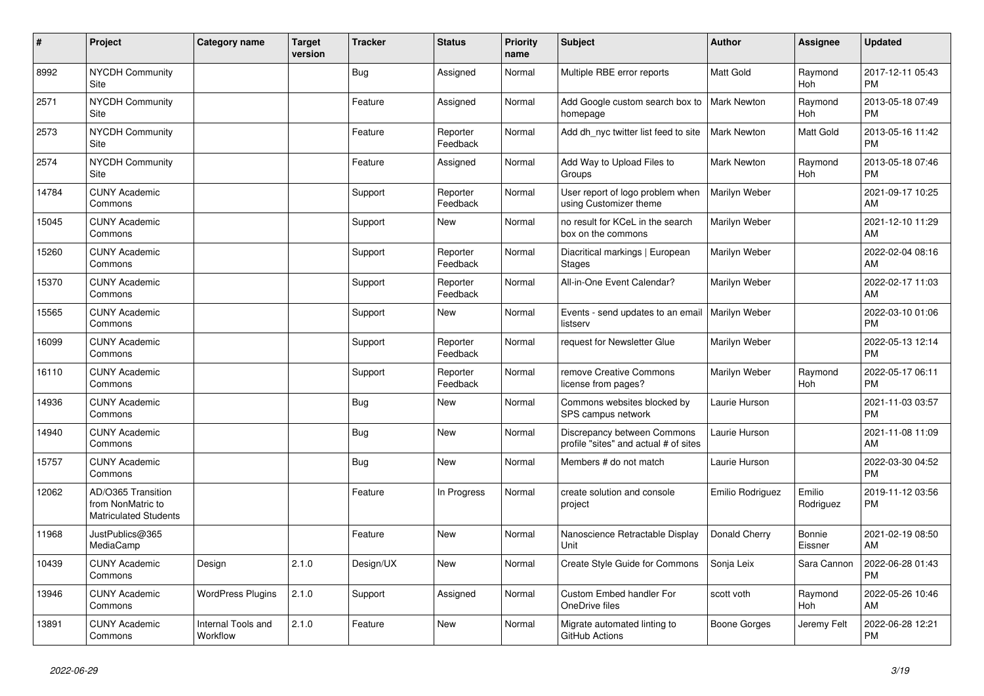| #     | Project                                                                 | Category name                  | <b>Target</b><br>version | <b>Tracker</b> | <b>Status</b>        | <b>Priority</b><br>name | <b>Subject</b>                                                       | <b>Author</b>      | <b>Assignee</b>       | <b>Updated</b>                |
|-------|-------------------------------------------------------------------------|--------------------------------|--------------------------|----------------|----------------------|-------------------------|----------------------------------------------------------------------|--------------------|-----------------------|-------------------------------|
| 8992  | <b>NYCDH Community</b><br>Site                                          |                                |                          | Bug            | Assigned             | Normal                  | Multiple RBE error reports                                           | <b>Matt Gold</b>   | Raymond<br>Hoh        | 2017-12-11 05:43<br><b>PM</b> |
| 2571  | <b>NYCDH Community</b><br>Site                                          |                                |                          | Feature        | Assigned             | Normal                  | Add Google custom search box to<br>homepage                          | <b>Mark Newton</b> | Raymond<br>Hoh        | 2013-05-18 07:49<br><b>PM</b> |
| 2573  | <b>NYCDH Community</b><br>Site                                          |                                |                          | Feature        | Reporter<br>Feedback | Normal                  | Add dh_nyc twitter list feed to site                                 | Mark Newton        | Matt Gold             | 2013-05-16 11:42<br><b>PM</b> |
| 2574  | NYCDH Community<br>Site                                                 |                                |                          | Feature        | Assigned             | Normal                  | Add Way to Upload Files to<br>Groups                                 | <b>Mark Newton</b> | Raymond<br><b>Hoh</b> | 2013-05-18 07:46<br><b>PM</b> |
| 14784 | <b>CUNY Academic</b><br>Commons                                         |                                |                          | Support        | Reporter<br>Feedback | Normal                  | User report of logo problem when<br>using Customizer theme           | Marilyn Weber      |                       | 2021-09-17 10:25<br>AM        |
| 15045 | <b>CUNY Academic</b><br>Commons                                         |                                |                          | Support        | New                  | Normal                  | no result for KCeL in the search<br>box on the commons               | Marilyn Weber      |                       | 2021-12-10 11:29<br>AM        |
| 15260 | <b>CUNY Academic</b><br>Commons                                         |                                |                          | Support        | Reporter<br>Feedback | Normal                  | Diacritical markings   European<br><b>Stages</b>                     | Marilyn Weber      |                       | 2022-02-04 08:16<br>AM        |
| 15370 | <b>CUNY Academic</b><br>Commons                                         |                                |                          | Support        | Reporter<br>Feedback | Normal                  | All-in-One Event Calendar?                                           | Marilyn Weber      |                       | 2022-02-17 11:03<br>AM        |
| 15565 | <b>CUNY Academic</b><br>Commons                                         |                                |                          | Support        | New                  | Normal                  | Events - send updates to an email<br>listserv                        | Marilyn Weber      |                       | 2022-03-10 01:06<br><b>PM</b> |
| 16099 | <b>CUNY Academic</b><br>Commons                                         |                                |                          | Support        | Reporter<br>Feedback | Normal                  | request for Newsletter Glue                                          | Marilyn Weber      |                       | 2022-05-13 12:14<br><b>PM</b> |
| 16110 | <b>CUNY Academic</b><br>Commons                                         |                                |                          | Support        | Reporter<br>Feedback | Normal                  | remove Creative Commons<br>license from pages?                       | Marilyn Weber      | Raymond<br>Hoh        | 2022-05-17 06:11<br><b>PM</b> |
| 14936 | <b>CUNY Academic</b><br>Commons                                         |                                |                          | <b>Bug</b>     | New                  | Normal                  | Commons websites blocked by<br>SPS campus network                    | Laurie Hurson      |                       | 2021-11-03 03:57<br><b>PM</b> |
| 14940 | <b>CUNY Academic</b><br>Commons                                         |                                |                          | Bug            | <b>New</b>           | Normal                  | Discrepancy between Commons<br>profile "sites" and actual # of sites | Laurie Hurson      |                       | 2021-11-08 11:09<br>AM        |
| 15757 | <b>CUNY Academic</b><br>Commons                                         |                                |                          | Bug            | <b>New</b>           | Normal                  | Members # do not match                                               | Laurie Hurson      |                       | 2022-03-30 04:52<br><b>PM</b> |
| 12062 | AD/O365 Transition<br>from NonMatric to<br><b>Matriculated Students</b> |                                |                          | Feature        | In Progress          | Normal                  | create solution and console<br>project                               | Emilio Rodriguez   | Emilio<br>Rodriguez   | 2019-11-12 03:56<br><b>PM</b> |
| 11968 | JustPublics@365<br>MediaCamp                                            |                                |                          | Feature        | <b>New</b>           | Normal                  | Nanoscience Retractable Display<br>Unit                              | Donald Cherry      | Bonnie<br>Eissner     | 2021-02-19 08:50<br>AM        |
| 10439 | <b>CUNY Academic</b><br>Commons                                         | Design                         | 2.1.0                    | Design/UX      | <b>New</b>           | Normal                  | Create Style Guide for Commons                                       | Sonja Leix         | Sara Cannon           | 2022-06-28 01:43<br><b>PM</b> |
| 13946 | <b>CUNY Academic</b><br>Commons                                         | <b>WordPress Plugins</b>       | 2.1.0                    | Support        | Assigned             | Normal                  | Custom Embed handler For<br>OneDrive files                           | scott voth         | Raymond<br><b>Hoh</b> | 2022-05-26 10:46<br>AM        |
| 13891 | <b>CUNY Academic</b><br>Commons                                         | Internal Tools and<br>Workflow | 2.1.0                    | Feature        | <b>New</b>           | Normal                  | Migrate automated linting to<br>GitHub Actions                       | Boone Gorges       | Jeremy Felt           | 2022-06-28 12:21<br><b>PM</b> |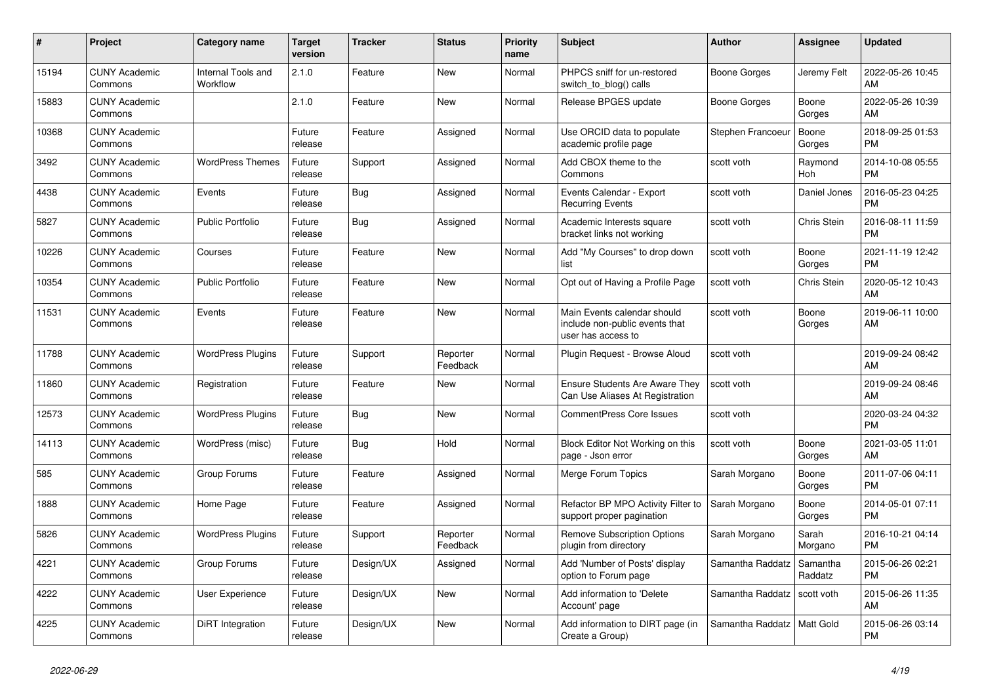| #     | <b>Project</b>                  | Category name                  | <b>Target</b><br>version | <b>Tracker</b> | <b>Status</b>        | <b>Priority</b><br>name | <b>Subject</b>                                                                      | <b>Author</b>     | <b>Assignee</b>       | <b>Updated</b>                |
|-------|---------------------------------|--------------------------------|--------------------------|----------------|----------------------|-------------------------|-------------------------------------------------------------------------------------|-------------------|-----------------------|-------------------------------|
| 15194 | <b>CUNY Academic</b><br>Commons | Internal Tools and<br>Workflow | 2.1.0                    | Feature        | <b>New</b>           | Normal                  | PHPCS sniff for un-restored<br>switch_to_blog() calls                               | Boone Gorges      | Jeremy Felt           | 2022-05-26 10:45<br>AM        |
| 15883 | <b>CUNY Academic</b><br>Commons |                                | 2.1.0                    | Feature        | <b>New</b>           | Normal                  | Release BPGES update                                                                | Boone Gorges      | Boone<br>Gorges       | 2022-05-26 10:39<br>AM        |
| 10368 | <b>CUNY Academic</b><br>Commons |                                | Future<br>release        | Feature        | Assigned             | Normal                  | Use ORCID data to populate<br>academic profile page                                 | Stephen Francoeur | Boone<br>Gorges       | 2018-09-25 01:53<br><b>PM</b> |
| 3492  | <b>CUNY Academic</b><br>Commons | <b>WordPress Themes</b>        | Future<br>release        | Support        | Assigned             | Normal                  | Add CBOX theme to the<br>Commons                                                    | scott voth        | Raymond<br><b>Hoh</b> | 2014-10-08 05:55<br><b>PM</b> |
| 4438  | <b>CUNY Academic</b><br>Commons | Events                         | Future<br>release        | Bug            | Assigned             | Normal                  | Events Calendar - Export<br><b>Recurring Events</b>                                 | scott voth        | Daniel Jones          | 2016-05-23 04:25<br><b>PM</b> |
| 5827  | <b>CUNY Academic</b><br>Commons | Public Portfolio               | Future<br>release        | <b>Bug</b>     | Assigned             | Normal                  | Academic Interests square<br>bracket links not working                              | scott voth        | Chris Stein           | 2016-08-11 11:59<br><b>PM</b> |
| 10226 | <b>CUNY Academic</b><br>Commons | Courses                        | Future<br>release        | Feature        | <b>New</b>           | Normal                  | Add "My Courses" to drop down<br>list                                               | scott voth        | Boone<br>Gorges       | 2021-11-19 12:42<br><b>PM</b> |
| 10354 | <b>CUNY Academic</b><br>Commons | Public Portfolio               | Future<br>release        | Feature        | <b>New</b>           | Normal                  | Opt out of Having a Profile Page                                                    | scott voth        | Chris Stein           | 2020-05-12 10:43<br>AM        |
| 11531 | <b>CUNY Academic</b><br>Commons | Events                         | Future<br>release        | Feature        | <b>New</b>           | Normal                  | Main Events calendar should<br>include non-public events that<br>user has access to | scott voth        | Boone<br>Gorges       | 2019-06-11 10:00<br>AM        |
| 11788 | <b>CUNY Academic</b><br>Commons | <b>WordPress Plugins</b>       | Future<br>release        | Support        | Reporter<br>Feedback | Normal                  | Plugin Request - Browse Aloud                                                       | scott voth        |                       | 2019-09-24 08:42<br>AM        |
| 11860 | <b>CUNY Academic</b><br>Commons | Registration                   | Future<br>release        | Feature        | <b>New</b>           | Normal                  | Ensure Students Are Aware They<br>Can Use Aliases At Registration                   | scott voth        |                       | 2019-09-24 08:46<br>AM        |
| 12573 | <b>CUNY Academic</b><br>Commons | <b>WordPress Plugins</b>       | Future<br>release        | Bug            | <b>New</b>           | Normal                  | <b>CommentPress Core Issues</b>                                                     | scott voth        |                       | 2020-03-24 04:32<br><b>PM</b> |
| 14113 | <b>CUNY Academic</b><br>Commons | WordPress (misc)               | Future<br>release        | <b>Bug</b>     | Hold                 | Normal                  | Block Editor Not Working on this<br>page - Json error                               | scott voth        | Boone<br>Gorges       | 2021-03-05 11:01<br>AM        |
| 585   | <b>CUNY Academic</b><br>Commons | Group Forums                   | Future<br>release        | Feature        | Assigned             | Normal                  | Merge Forum Topics                                                                  | Sarah Morgano     | Boone<br>Gorges       | 2011-07-06 04:11<br><b>PM</b> |
| 1888  | <b>CUNY Academic</b><br>Commons | Home Page                      | Future<br>release        | Feature        | Assigned             | Normal                  | Refactor BP MPO Activity Filter to<br>support proper pagination                     | Sarah Morgano     | Boone<br>Gorges       | 2014-05-01 07:11<br><b>PM</b> |
| 5826  | <b>CUNY Academic</b><br>Commons | <b>WordPress Plugins</b>       | Future<br>release        | Support        | Reporter<br>Feedback | Normal                  | <b>Remove Subscription Options</b><br>plugin from directory                         | Sarah Morgano     | Sarah<br>Morgano      | 2016-10-21 04:14<br><b>PM</b> |
| 4221  | <b>CUNY Academic</b><br>Commons | Group Forums                   | Future<br>release        | Design/UX      | Assigned             | Normal                  | Add 'Number of Posts' display<br>option to Forum page                               | Samantha Raddatz  | Samantha<br>Raddatz   | 2015-06-26 02:21<br><b>PM</b> |
| 4222  | <b>CUNY Academic</b><br>Commons | <b>User Experience</b>         | Future<br>release        | Design/UX      | <b>New</b>           | Normal                  | Add information to 'Delete<br>Account' page                                         | Samantha Raddatz  | scott voth            | 2015-06-26 11:35<br>AM        |
| 4225  | <b>CUNY Academic</b><br>Commons | DiRT Integration               | Future<br>release        | Design/UX      | <b>New</b>           | Normal                  | Add information to DIRT page (in<br>Create a Group)                                 | Samantha Raddatz  | Matt Gold             | 2015-06-26 03:14<br><b>PM</b> |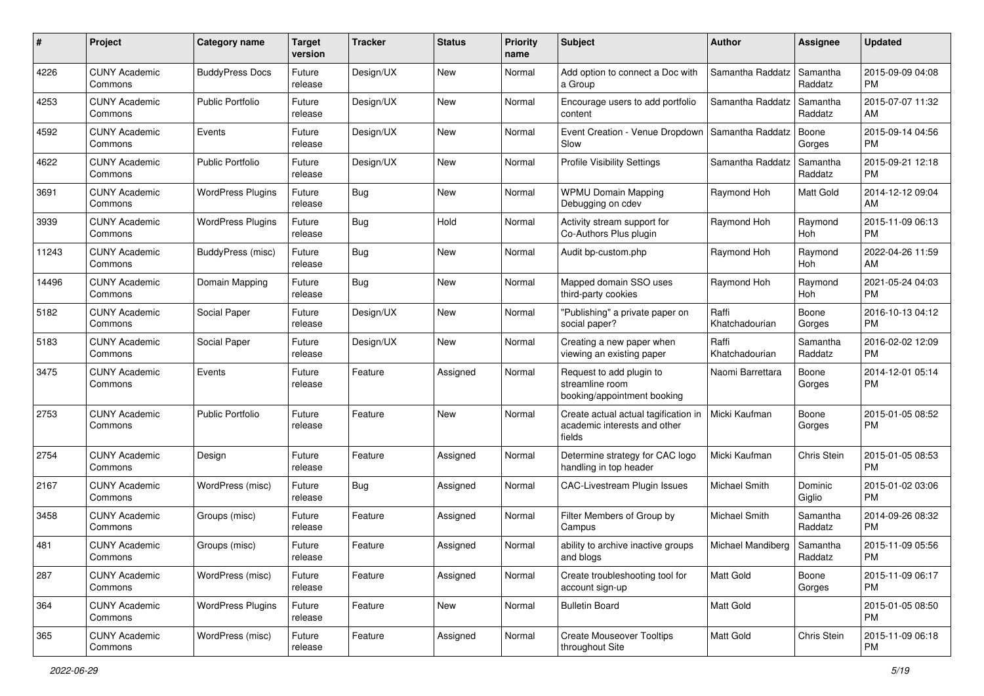| #     | Project                         | <b>Category name</b>     | <b>Target</b><br>version | <b>Tracker</b> | <b>Status</b> | <b>Priority</b><br>name | Subject                                                                        | Author                  | <b>Assignee</b>     | <b>Updated</b>                |
|-------|---------------------------------|--------------------------|--------------------------|----------------|---------------|-------------------------|--------------------------------------------------------------------------------|-------------------------|---------------------|-------------------------------|
| 4226  | <b>CUNY Academic</b><br>Commons | <b>BuddyPress Docs</b>   | Future<br>release        | Design/UX      | New           | Normal                  | Add option to connect a Doc with<br>a Group                                    | Samantha Raddatz        | Samantha<br>Raddatz | 2015-09-09 04:08<br>PM        |
| 4253  | <b>CUNY Academic</b><br>Commons | <b>Public Portfolio</b>  | Future<br>release        | Design/UX      | New           | Normal                  | Encourage users to add portfolio<br>content                                    | Samantha Raddatz        | Samantha<br>Raddatz | 2015-07-07 11:32<br>AM        |
| 4592  | <b>CUNY Academic</b><br>Commons | Events                   | Future<br>release        | Design/UX      | New           | Normal                  | Event Creation - Venue Dropdown<br>Slow                                        | Samantha Raddatz        | Boone<br>Gorges     | 2015-09-14 04:56<br><b>PM</b> |
| 4622  | <b>CUNY Academic</b><br>Commons | <b>Public Portfolio</b>  | Future<br>release        | Design/UX      | New           | Normal                  | <b>Profile Visibility Settings</b>                                             | Samantha Raddatz        | Samantha<br>Raddatz | 2015-09-21 12:18<br><b>PM</b> |
| 3691  | <b>CUNY Academic</b><br>Commons | <b>WordPress Plugins</b> | Future<br>release        | <b>Bug</b>     | <b>New</b>    | Normal                  | <b>WPMU Domain Mapping</b><br>Debugging on cdev                                | Raymond Hoh             | <b>Matt Gold</b>    | 2014-12-12 09:04<br>AM        |
| 3939  | <b>CUNY Academic</b><br>Commons | <b>WordPress Plugins</b> | Future<br>release        | <b>Bug</b>     | Hold          | Normal                  | Activity stream support for<br>Co-Authors Plus plugin                          | Raymond Hoh             | Raymond<br>Hoh      | 2015-11-09 06:13<br><b>PM</b> |
| 11243 | <b>CUNY Academic</b><br>Commons | BuddyPress (misc)        | Future<br>release        | <b>Bug</b>     | New           | Normal                  | Audit bp-custom.php                                                            | Raymond Hoh             | Raymond<br>Hoh      | 2022-04-26 11:59<br>AM        |
| 14496 | <b>CUNY Academic</b><br>Commons | Domain Mapping           | Future<br>release        | Bug            | New           | Normal                  | Mapped domain SSO uses<br>third-party cookies                                  | Raymond Hoh             | Raymond<br>Hoh      | 2021-05-24 04:03<br>PM        |
| 5182  | <b>CUNY Academic</b><br>Commons | Social Paper             | Future<br>release        | Design/UX      | <b>New</b>    | Normal                  | "Publishing" a private paper on<br>social paper?                               | Raffi<br>Khatchadourian | Boone<br>Gorges     | 2016-10-13 04:12<br><b>PM</b> |
| 5183  | <b>CUNY Academic</b><br>Commons | Social Paper             | Future<br>release        | Design/UX      | New           | Normal                  | Creating a new paper when<br>viewing an existing paper                         | Raffi<br>Khatchadourian | Samantha<br>Raddatz | 2016-02-02 12:09<br><b>PM</b> |
| 3475  | <b>CUNY Academic</b><br>Commons | Events                   | Future<br>release        | Feature        | Assigned      | Normal                  | Request to add plugin to<br>streamline room<br>booking/appointment booking     | Naomi Barrettara        | Boone<br>Gorges     | 2014-12-01 05:14<br>РM        |
| 2753  | <b>CUNY Academic</b><br>Commons | <b>Public Portfolio</b>  | Future<br>release        | Feature        | New           | Normal                  | Create actual actual tagification in<br>academic interests and other<br>fields | Micki Kaufman           | Boone<br>Gorges     | 2015-01-05 08:52<br><b>PM</b> |
| 2754  | <b>CUNY Academic</b><br>Commons | Design                   | Future<br>release        | Feature        | Assigned      | Normal                  | Determine strategy for CAC logo<br>handling in top header                      | Micki Kaufman           | Chris Stein         | 2015-01-05 08:53<br><b>PM</b> |
| 2167  | <b>CUNY Academic</b><br>Commons | WordPress (misc)         | Future<br>release        | Bug            | Assigned      | Normal                  | CAC-Livestream Plugin Issues                                                   | Michael Smith           | Dominic<br>Giglio   | 2015-01-02 03:06<br><b>PM</b> |
| 3458  | <b>CUNY Academic</b><br>Commons | Groups (misc)            | Future<br>release        | Feature        | Assigned      | Normal                  | Filter Members of Group by<br>Campus                                           | Michael Smith           | Samantha<br>Raddatz | 2014-09-26 08:32<br><b>PM</b> |
| 481   | <b>CUNY Academic</b><br>Commons | Groups (misc)            | Future<br>release        | Feature        | Assigned      | Normal                  | ability to archive inactive groups<br>and blogs                                | Michael Mandiberg       | Samantha<br>Raddatz | 2015-11-09 05:56<br>PM        |
| 287   | <b>CUNY Academic</b><br>Commons | WordPress (misc)         | Future<br>release        | Feature        | Assigned      | Normal                  | Create troubleshooting tool for<br>account sign-up                             | Matt Gold               | Boone<br>Gorges     | 2015-11-09 06:17<br>PM        |
| 364   | <b>CUNY Academic</b><br>Commons | <b>WordPress Plugins</b> | Future<br>release        | Feature        | New           | Normal                  | <b>Bulletin Board</b>                                                          | Matt Gold               |                     | 2015-01-05 08:50<br><b>PM</b> |
| 365   | <b>CUNY Academic</b><br>Commons | WordPress (misc)         | Future<br>release        | Feature        | Assigned      | Normal                  | <b>Create Mouseover Tooltips</b><br>throughout Site                            | Matt Gold               | Chris Stein         | 2015-11-09 06:18<br><b>PM</b> |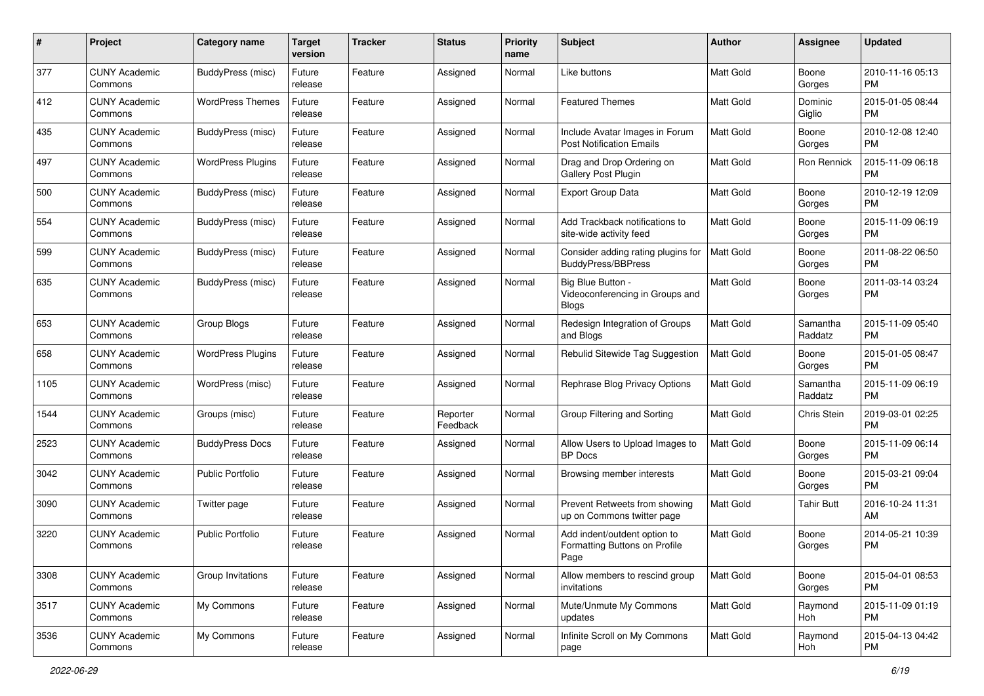| #    | Project                         | <b>Category name</b>     | <b>Target</b><br>version | <b>Tracker</b> | <b>Status</b>        | <b>Priority</b><br>name | Subject                                                               | Author           | <b>Assignee</b>     | <b>Updated</b>                |
|------|---------------------------------|--------------------------|--------------------------|----------------|----------------------|-------------------------|-----------------------------------------------------------------------|------------------|---------------------|-------------------------------|
| 377  | <b>CUNY Academic</b><br>Commons | BuddyPress (misc)        | Future<br>release        | Feature        | Assigned             | Normal                  | Like buttons                                                          | <b>Matt Gold</b> | Boone<br>Gorges     | 2010-11-16 05:13<br>РM        |
| 412  | <b>CUNY Academic</b><br>Commons | <b>WordPress Themes</b>  | Future<br>release        | Feature        | Assigned             | Normal                  | <b>Featured Themes</b>                                                | Matt Gold        | Dominic<br>Giglio   | 2015-01-05 08:44<br><b>PM</b> |
| 435  | <b>CUNY Academic</b><br>Commons | BuddyPress (misc)        | Future<br>release        | Feature        | Assigned             | Normal                  | Include Avatar Images in Forum<br><b>Post Notification Emails</b>     | Matt Gold        | Boone<br>Gorges     | 2010-12-08 12:40<br><b>PM</b> |
| 497  | <b>CUNY Academic</b><br>Commons | <b>WordPress Plugins</b> | Future<br>release        | Feature        | Assigned             | Normal                  | Drag and Drop Ordering on<br>Gallery Post Plugin                      | <b>Matt Gold</b> | <b>Ron Rennick</b>  | 2015-11-09 06:18<br><b>PM</b> |
| 500  | <b>CUNY Academic</b><br>Commons | <b>BuddyPress (misc)</b> | Future<br>release        | Feature        | Assigned             | Normal                  | <b>Export Group Data</b>                                              | <b>Matt Gold</b> | Boone<br>Gorges     | 2010-12-19 12:09<br><b>PM</b> |
| 554  | <b>CUNY Academic</b><br>Commons | <b>BuddyPress (misc)</b> | Future<br>release        | Feature        | Assigned             | Normal                  | Add Trackback notifications to<br>site-wide activity feed             | <b>Matt Gold</b> | Boone<br>Gorges     | 2015-11-09 06:19<br><b>PM</b> |
| 599  | <b>CUNY Academic</b><br>Commons | BuddyPress (misc)        | Future<br>release        | Feature        | Assigned             | Normal                  | Consider adding rating plugins for<br><b>BuddyPress/BBPress</b>       | Matt Gold        | Boone<br>Gorges     | 2011-08-22 06:50<br><b>PM</b> |
| 635  | <b>CUNY Academic</b><br>Commons | BuddyPress (misc)        | Future<br>release        | Feature        | Assigned             | Normal                  | Big Blue Button -<br>Videoconferencing in Groups and<br><b>Blogs</b>  | <b>Matt Gold</b> | Boone<br>Gorges     | 2011-03-14 03:24<br><b>PM</b> |
| 653  | <b>CUNY Academic</b><br>Commons | Group Blogs              | Future<br>release        | Feature        | Assigned             | Normal                  | Redesign Integration of Groups<br>and Blogs                           | <b>Matt Gold</b> | Samantha<br>Raddatz | 2015-11-09 05:40<br><b>PM</b> |
| 658  | <b>CUNY Academic</b><br>Commons | <b>WordPress Plugins</b> | Future<br>release        | Feature        | Assigned             | Normal                  | Rebulid Sitewide Tag Suggestion                                       | <b>Matt Gold</b> | Boone<br>Gorges     | 2015-01-05 08:47<br><b>PM</b> |
| 1105 | <b>CUNY Academic</b><br>Commons | WordPress (misc)         | Future<br>release        | Feature        | Assigned             | Normal                  | Rephrase Blog Privacy Options                                         | Matt Gold        | Samantha<br>Raddatz | 2015-11-09 06:19<br><b>PM</b> |
| 1544 | <b>CUNY Academic</b><br>Commons | Groups (misc)            | Future<br>release        | Feature        | Reporter<br>Feedback | Normal                  | Group Filtering and Sorting                                           | <b>Matt Gold</b> | Chris Stein         | 2019-03-01 02:25<br><b>PM</b> |
| 2523 | <b>CUNY Academic</b><br>Commons | <b>BuddyPress Docs</b>   | Future<br>release        | Feature        | Assigned             | Normal                  | Allow Users to Upload Images to<br><b>BP</b> Docs                     | <b>Matt Gold</b> | Boone<br>Gorges     | 2015-11-09 06:14<br><b>PM</b> |
| 3042 | <b>CUNY Academic</b><br>Commons | <b>Public Portfolio</b>  | Future<br>release        | Feature        | Assigned             | Normal                  | Browsing member interests                                             | <b>Matt Gold</b> | Boone<br>Gorges     | 2015-03-21 09:04<br><b>PM</b> |
| 3090 | <b>CUNY Academic</b><br>Commons | Twitter page             | Future<br>release        | Feature        | Assigned             | Normal                  | Prevent Retweets from showing<br>up on Commons twitter page           | <b>Matt Gold</b> | <b>Tahir Butt</b>   | 2016-10-24 11:31<br>AM        |
| 3220 | <b>CUNY Academic</b><br>Commons | <b>Public Portfolio</b>  | Future<br>release        | Feature        | Assigned             | Normal                  | Add indent/outdent option to<br>Formatting Buttons on Profile<br>Page | <b>Matt Gold</b> | Boone<br>Gorges     | 2014-05-21 10:39<br><b>PM</b> |
| 3308 | <b>CUNY Academic</b><br>Commons | Group Invitations        | Future<br>release        | Feature        | Assigned             | Normal                  | Allow members to rescind group<br>invitations                         | Matt Gold        | Boone<br>Gorges     | 2015-04-01 08:53<br>PM        |
| 3517 | <b>CUNY Academic</b><br>Commons | My Commons               | Future<br>release        | Feature        | Assigned             | Normal                  | Mute/Unmute My Commons<br>updates                                     | Matt Gold        | Raymond<br>Hoh      | 2015-11-09 01:19<br>PM        |
| 3536 | <b>CUNY Academic</b><br>Commons | My Commons               | Future<br>release        | Feature        | Assigned             | Normal                  | Infinite Scroll on My Commons<br>page                                 | Matt Gold        | Raymond<br>Hoh      | 2015-04-13 04:42<br>PM        |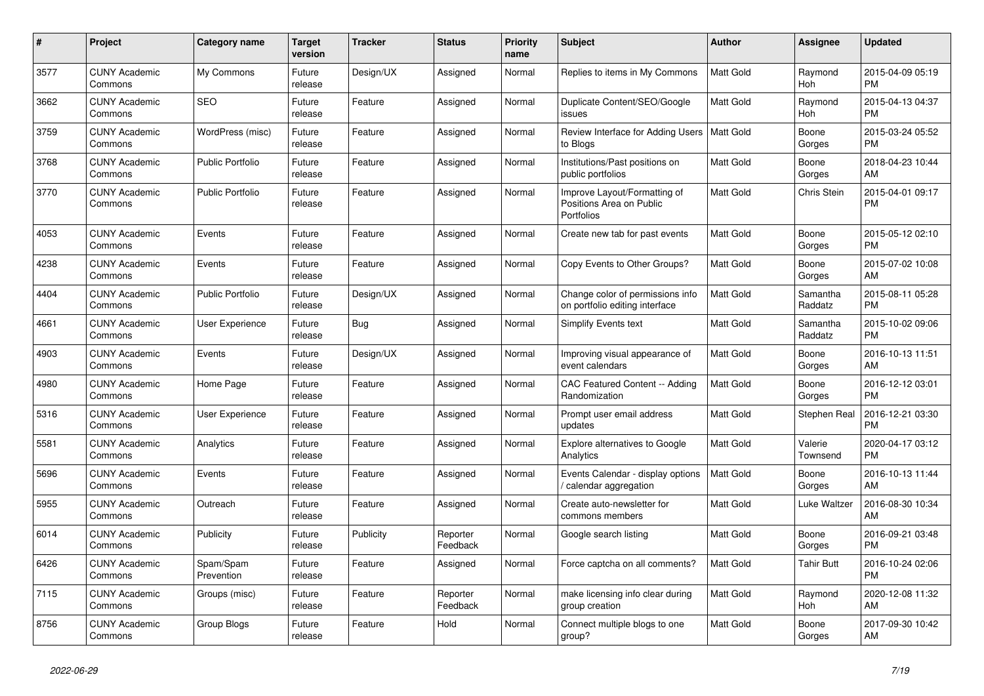| #    | <b>Project</b>                  | Category name           | Target<br>version | Tracker   | <b>Status</b>        | <b>Priority</b><br>name | <b>Subject</b>                                                         | <b>Author</b>    | Assignee            | <b>Updated</b>                |
|------|---------------------------------|-------------------------|-------------------|-----------|----------------------|-------------------------|------------------------------------------------------------------------|------------------|---------------------|-------------------------------|
| 3577 | <b>CUNY Academic</b><br>Commons | My Commons              | Future<br>release | Design/UX | Assigned             | Normal                  | Replies to items in My Commons                                         | <b>Matt Gold</b> | Raymond<br>Hoh      | 2015-04-09 05:19<br><b>PM</b> |
| 3662 | <b>CUNY Academic</b><br>Commons | <b>SEO</b>              | Future<br>release | Feature   | Assigned             | Normal                  | Duplicate Content/SEO/Google<br>issues                                 | <b>Matt Gold</b> | Raymond<br>Hoh      | 2015-04-13 04:37<br><b>PM</b> |
| 3759 | <b>CUNY Academic</b><br>Commons | WordPress (misc)        | Future<br>release | Feature   | Assigned             | Normal                  | Review Interface for Adding Users<br>to Blogs                          | <b>Matt Gold</b> | Boone<br>Gorges     | 2015-03-24 05:52<br><b>PM</b> |
| 3768 | <b>CUNY Academic</b><br>Commons | <b>Public Portfolio</b> | Future<br>release | Feature   | Assigned             | Normal                  | Institutions/Past positions on<br>public portfolios                    | Matt Gold        | Boone<br>Gorges     | 2018-04-23 10:44<br>AM        |
| 3770 | <b>CUNY Academic</b><br>Commons | <b>Public Portfolio</b> | Future<br>release | Feature   | Assigned             | Normal                  | Improve Layout/Formatting of<br>Positions Area on Public<br>Portfolios | Matt Gold        | Chris Stein         | 2015-04-01 09:17<br><b>PM</b> |
| 4053 | <b>CUNY Academic</b><br>Commons | Events                  | Future<br>release | Feature   | Assigned             | Normal                  | Create new tab for past events                                         | Matt Gold        | Boone<br>Gorges     | 2015-05-12 02:10<br><b>PM</b> |
| 4238 | <b>CUNY Academic</b><br>Commons | Events                  | Future<br>release | Feature   | Assigned             | Normal                  | Copy Events to Other Groups?                                           | Matt Gold        | Boone<br>Gorges     | 2015-07-02 10:08<br>AM        |
| 4404 | <b>CUNY Academic</b><br>Commons | <b>Public Portfolio</b> | Future<br>release | Design/UX | Assigned             | Normal                  | Change color of permissions info<br>on portfolio editing interface     | Matt Gold        | Samantha<br>Raddatz | 2015-08-11 05:28<br><b>PM</b> |
| 4661 | <b>CUNY Academic</b><br>Commons | User Experience         | Future<br>release | Bug       | Assigned             | Normal                  | <b>Simplify Events text</b>                                            | Matt Gold        | Samantha<br>Raddatz | 2015-10-02 09:06<br><b>PM</b> |
| 4903 | <b>CUNY Academic</b><br>Commons | Events                  | Future<br>release | Design/UX | Assigned             | Normal                  | Improving visual appearance of<br>event calendars                      | Matt Gold        | Boone<br>Gorges     | 2016-10-13 11:51<br>AM        |
| 4980 | <b>CUNY Academic</b><br>Commons | Home Page               | Future<br>release | Feature   | Assigned             | Normal                  | CAC Featured Content -- Adding<br>Randomization                        | Matt Gold        | Boone<br>Gorges     | 2016-12-12 03:01<br><b>PM</b> |
| 5316 | <b>CUNY Academic</b><br>Commons | User Experience         | Future<br>release | Feature   | Assigned             | Normal                  | Prompt user email address<br>updates                                   | Matt Gold        | Stephen Real        | 2016-12-21 03:30<br><b>PM</b> |
| 5581 | <b>CUNY Academic</b><br>Commons | Analytics               | Future<br>release | Feature   | Assigned             | Normal                  | Explore alternatives to Google<br>Analytics                            | Matt Gold        | Valerie<br>Townsend | 2020-04-17 03:12<br><b>PM</b> |
| 5696 | <b>CUNY Academic</b><br>Commons | Events                  | Future<br>release | Feature   | Assigned             | Normal                  | Events Calendar - display options<br>/ calendar aggregation            | <b>Matt Gold</b> | Boone<br>Gorges     | 2016-10-13 11:44<br>AM        |
| 5955 | <b>CUNY Academic</b><br>Commons | Outreach                | Future<br>release | Feature   | Assigned             | Normal                  | Create auto-newsletter for<br>commons members                          | <b>Matt Gold</b> | Luke Waltzer        | 2016-08-30 10:34<br>AM        |
| 6014 | <b>CUNY Academic</b><br>Commons | Publicity               | Future<br>release | Publicity | Reporter<br>Feedback | Normal                  | Google search listing                                                  | <b>Matt Gold</b> | Boone<br>Gorges     | 2016-09-21 03:48<br><b>PM</b> |
| 6426 | <b>CUNY Academic</b><br>Commons | Spam/Spam<br>Prevention | Future<br>release | Feature   | Assigned             | Normal                  | Force captcha on all comments?                                         | Matt Gold        | <b>Tahir Butt</b>   | 2016-10-24 02:06<br><b>PM</b> |
| 7115 | <b>CUNY Academic</b><br>Commons | Groups (misc)           | Future<br>release | Feature   | Reporter<br>Feedback | Normal                  | make licensing info clear during<br>group creation                     | Matt Gold        | Raymond<br>Hoh      | 2020-12-08 11:32<br>AM        |
| 8756 | <b>CUNY Academic</b><br>Commons | Group Blogs             | Future<br>release | Feature   | Hold                 | Normal                  | Connect multiple blogs to one<br>group?                                | Matt Gold        | Boone<br>Gorges     | 2017-09-30 10:42<br>AM        |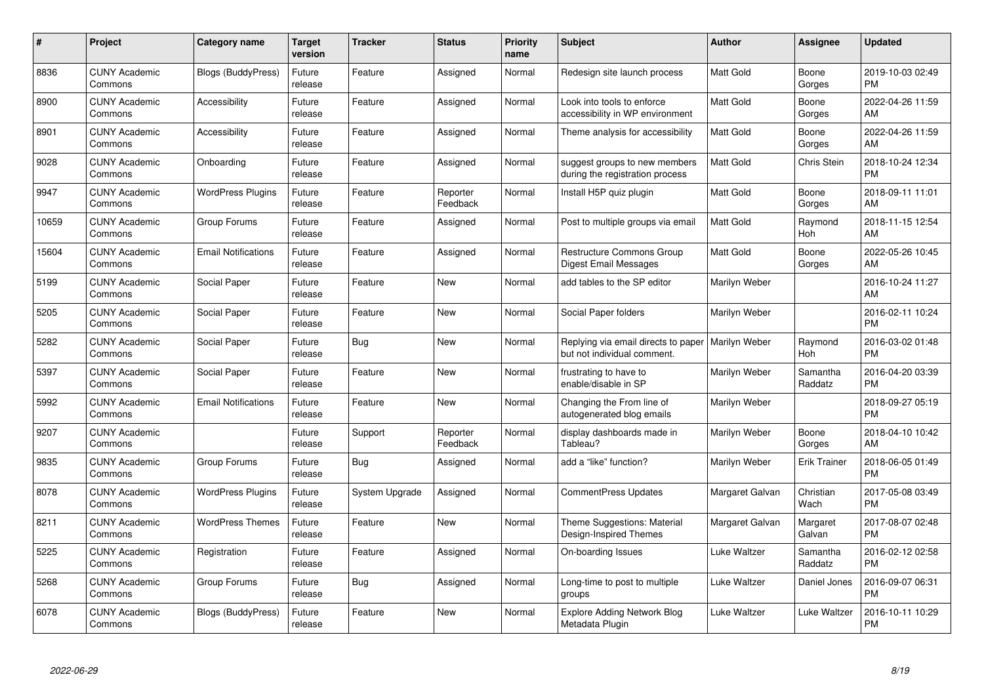| $\#$  | Project                         | <b>Category name</b>       | Target<br>version | <b>Tracker</b> | <b>Status</b>        | <b>Priority</b><br>name | <b>Subject</b>                                                                     | Author           | <b>Assignee</b>     | <b>Updated</b>                |
|-------|---------------------------------|----------------------------|-------------------|----------------|----------------------|-------------------------|------------------------------------------------------------------------------------|------------------|---------------------|-------------------------------|
| 8836  | <b>CUNY Academic</b><br>Commons | <b>Blogs (BuddyPress)</b>  | Future<br>release | Feature        | Assigned             | Normal                  | Redesign site launch process                                                       | <b>Matt Gold</b> | Boone<br>Gorges     | 2019-10-03 02:49<br><b>PM</b> |
| 8900  | <b>CUNY Academic</b><br>Commons | Accessibility              | Future<br>release | Feature        | Assigned             | Normal                  | Look into tools to enforce<br>accessibility in WP environment                      | <b>Matt Gold</b> | Boone<br>Gorges     | 2022-04-26 11:59<br>AM        |
| 8901  | <b>CUNY Academic</b><br>Commons | Accessibility              | Future<br>release | Feature        | Assigned             | Normal                  | Theme analysis for accessibility                                                   | <b>Matt Gold</b> | Boone<br>Gorges     | 2022-04-26 11:59<br>AM        |
| 9028  | <b>CUNY Academic</b><br>Commons | Onboarding                 | Future<br>release | Feature        | Assigned             | Normal                  | suggest groups to new members<br>during the registration process                   | Matt Gold        | Chris Stein         | 2018-10-24 12:34<br><b>PM</b> |
| 9947  | <b>CUNY Academic</b><br>Commons | <b>WordPress Plugins</b>   | Future<br>release | Feature        | Reporter<br>Feedback | Normal                  | Install H5P quiz plugin                                                            | <b>Matt Gold</b> | Boone<br>Gorges     | 2018-09-11 11:01<br>AM        |
| 10659 | <b>CUNY Academic</b><br>Commons | Group Forums               | Future<br>release | Feature        | Assigned             | Normal                  | Post to multiple groups via email                                                  | <b>Matt Gold</b> | Raymond<br>Hoh      | 2018-11-15 12:54<br>AM        |
| 15604 | <b>CUNY Academic</b><br>Commons | <b>Email Notifications</b> | Future<br>release | Feature        | Assigned             | Normal                  | <b>Restructure Commons Group</b><br><b>Digest Email Messages</b>                   | Matt Gold        | Boone<br>Gorges     | 2022-05-26 10:45<br>AM        |
| 5199  | <b>CUNY Academic</b><br>Commons | Social Paper               | Future<br>release | Feature        | <b>New</b>           | Normal                  | add tables to the SP editor                                                        | Marilyn Weber    |                     | 2016-10-24 11:27<br>AM        |
| 5205  | <b>CUNY Academic</b><br>Commons | Social Paper               | Future<br>release | Feature        | <b>New</b>           | Normal                  | Social Paper folders                                                               | Marilyn Weber    |                     | 2016-02-11 10:24<br><b>PM</b> |
| 5282  | <b>CUNY Academic</b><br>Commons | Social Paper               | Future<br>release | Bug            | <b>New</b>           | Normal                  | Replying via email directs to paper   Marilyn Weber<br>but not individual comment. |                  | Raymond<br>Hoh      | 2016-03-02 01:48<br><b>PM</b> |
| 5397  | <b>CUNY Academic</b><br>Commons | Social Paper               | Future<br>release | Feature        | <b>New</b>           | Normal                  | frustrating to have to<br>enable/disable in SP                                     | Marilyn Weber    | Samantha<br>Raddatz | 2016-04-20 03:39<br><b>PM</b> |
| 5992  | <b>CUNY Academic</b><br>Commons | <b>Email Notifications</b> | Future<br>release | Feature        | <b>New</b>           | Normal                  | Changing the From line of<br>autogenerated blog emails                             | Marilyn Weber    |                     | 2018-09-27 05:19<br><b>PM</b> |
| 9207  | <b>CUNY Academic</b><br>Commons |                            | Future<br>release | Support        | Reporter<br>Feedback | Normal                  | display dashboards made in<br>Tableau?                                             | Marilyn Weber    | Boone<br>Gorges     | 2018-04-10 10:42<br>AM        |
| 9835  | <b>CUNY Academic</b><br>Commons | Group Forums               | Future<br>release | Bug            | Assigned             | Normal                  | add a "like" function?                                                             | Marilyn Weber    | <b>Erik Trainer</b> | 2018-06-05 01:49<br><b>PM</b> |
| 8078  | <b>CUNY Academic</b><br>Commons | <b>WordPress Plugins</b>   | Future<br>release | System Upgrade | Assigned             | Normal                  | <b>CommentPress Updates</b>                                                        | Margaret Galvan  | Christian<br>Wach   | 2017-05-08 03:49<br><b>PM</b> |
| 8211  | <b>CUNY Academic</b><br>Commons | <b>WordPress Themes</b>    | Future<br>release | Feature        | <b>New</b>           | Normal                  | Theme Suggestions: Material<br>Design-Inspired Themes                              | Margaret Galvan  | Margaret<br>Galvan  | 2017-08-07 02:48<br><b>PM</b> |
| 5225  | <b>CUNY Academic</b><br>Commons | Registration               | Future<br>release | Feature        | Assigned             | Normal                  | On-boarding Issues                                                                 | Luke Waltzer     | Samantha<br>Raddatz | 2016-02-12 02:58<br><b>PM</b> |
| 5268  | <b>CUNY Academic</b><br>Commons | Group Forums               | Future<br>release | <b>Bug</b>     | Assigned             | Normal                  | Long-time to post to multiple<br>groups                                            | Luke Waltzer     | Daniel Jones        | 2016-09-07 06:31<br><b>PM</b> |
| 6078  | CUNY Academic<br>Commons        | Blogs (BuddyPress)         | Future<br>release | Feature        | <b>New</b>           | Normal                  | <b>Explore Adding Network Blog</b><br>Metadata Plugin                              | Luke Waltzer     | Luke Waltzer        | 2016-10-11 10:29<br>PM        |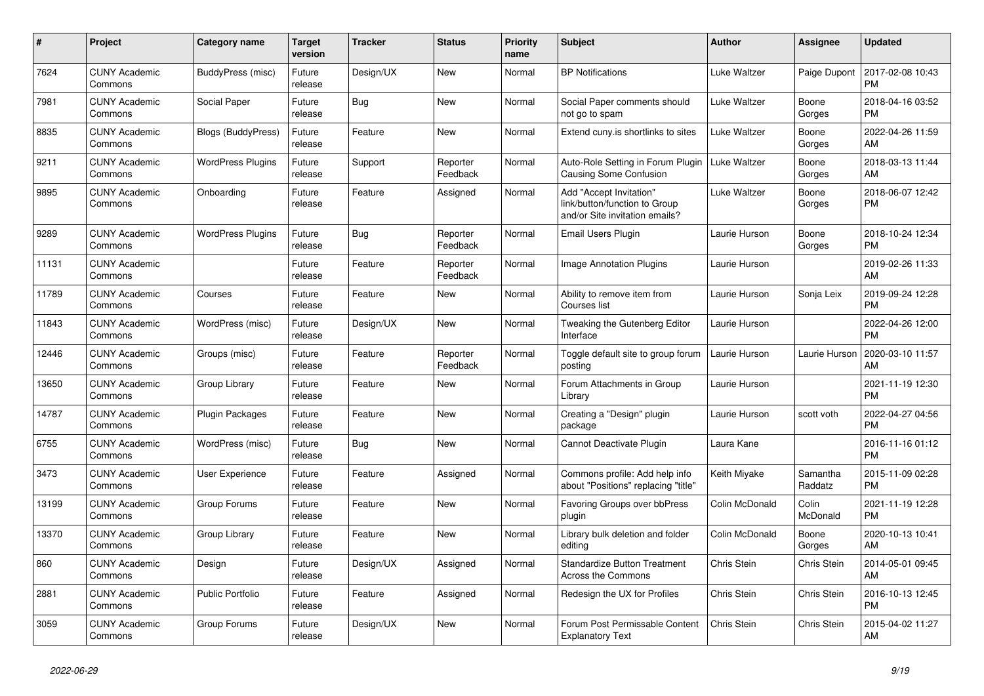| $\pmb{\#}$ | Project                         | Category name             | <b>Target</b><br>version | <b>Tracker</b> | <b>Status</b>        | <b>Priority</b><br>name | <b>Subject</b>                                                                             | <b>Author</b>       | <b>Assignee</b>     | <b>Updated</b>                |
|------------|---------------------------------|---------------------------|--------------------------|----------------|----------------------|-------------------------|--------------------------------------------------------------------------------------------|---------------------|---------------------|-------------------------------|
| 7624       | <b>CUNY Academic</b><br>Commons | BuddyPress (misc)         | Future<br>release        | Design/UX      | <b>New</b>           | Normal                  | <b>BP</b> Notifications                                                                    | Luke Waltzer        | Paige Dupont        | 2017-02-08 10:43<br><b>PM</b> |
| 7981       | <b>CUNY Academic</b><br>Commons | Social Paper              | Future<br>release        | <b>Bug</b>     | <b>New</b>           | Normal                  | Social Paper comments should<br>not go to spam                                             | Luke Waltzer        | Boone<br>Gorges     | 2018-04-16 03:52<br><b>PM</b> |
| 8835       | <b>CUNY Academic</b><br>Commons | <b>Blogs (BuddyPress)</b> | Future<br>release        | Feature        | <b>New</b>           | Normal                  | Extend cuny is shortlinks to sites                                                         | Luke Waltzer        | Boone<br>Gorges     | 2022-04-26 11:59<br>AM        |
| 9211       | <b>CUNY Academic</b><br>Commons | <b>WordPress Plugins</b>  | Future<br>release        | Support        | Reporter<br>Feedback | Normal                  | Auto-Role Setting in Forum Plugin<br><b>Causing Some Confusion</b>                         | <b>Luke Waltzer</b> | Boone<br>Gorges     | 2018-03-13 11:44<br>AM        |
| 9895       | <b>CUNY Academic</b><br>Commons | Onboarding                | Future<br>release        | Feature        | Assigned             | Normal                  | Add "Accept Invitation"<br>link/button/function to Group<br>and/or Site invitation emails? | Luke Waltzer        | Boone<br>Gorges     | 2018-06-07 12:42<br><b>PM</b> |
| 9289       | <b>CUNY Academic</b><br>Commons | <b>WordPress Plugins</b>  | Future<br>release        | <b>Bug</b>     | Reporter<br>Feedback | Normal                  | <b>Email Users Plugin</b>                                                                  | Laurie Hurson       | Boone<br>Gorges     | 2018-10-24 12:34<br><b>PM</b> |
| 11131      | <b>CUNY Academic</b><br>Commons |                           | Future<br>release        | Feature        | Reporter<br>Feedback | Normal                  | Image Annotation Plugins                                                                   | Laurie Hurson       |                     | 2019-02-26 11:33<br>AM        |
| 11789      | <b>CUNY Academic</b><br>Commons | Courses                   | Future<br>release        | Feature        | <b>New</b>           | Normal                  | Ability to remove item from<br>Courses list                                                | Laurie Hurson       | Sonja Leix          | 2019-09-24 12:28<br><b>PM</b> |
| 11843      | <b>CUNY Academic</b><br>Commons | WordPress (misc)          | Future<br>release        | Design/UX      | <b>New</b>           | Normal                  | Tweaking the Gutenberg Editor<br>Interface                                                 | Laurie Hurson       |                     | 2022-04-26 12:00<br><b>PM</b> |
| 12446      | <b>CUNY Academic</b><br>Commons | Groups (misc)             | Future<br>release        | Feature        | Reporter<br>Feedback | Normal                  | Toggle default site to group forum<br>posting                                              | Laurie Hurson       | Laurie Hurson       | 2020-03-10 11:57<br>AM        |
| 13650      | <b>CUNY Academic</b><br>Commons | Group Library             | Future<br>release        | Feature        | <b>New</b>           | Normal                  | Forum Attachments in Group<br>Library                                                      | Laurie Hurson       |                     | 2021-11-19 12:30<br><b>PM</b> |
| 14787      | <b>CUNY Academic</b><br>Commons | <b>Plugin Packages</b>    | Future<br>release        | Feature        | <b>New</b>           | Normal                  | Creating a "Design" plugin<br>package                                                      | Laurie Hurson       | scott voth          | 2022-04-27 04:56<br><b>PM</b> |
| 6755       | <b>CUNY Academic</b><br>Commons | WordPress (misc)          | Future<br>release        | <b>Bug</b>     | New                  | Normal                  | Cannot Deactivate Plugin                                                                   | Laura Kane          |                     | 2016-11-16 01:12<br><b>PM</b> |
| 3473       | <b>CUNY Academic</b><br>Commons | User Experience           | Future<br>release        | Feature        | Assigned             | Normal                  | Commons profile: Add help info<br>about "Positions" replacing "title"                      | Keith Miyake        | Samantha<br>Raddatz | 2015-11-09 02:28<br><b>PM</b> |
| 13199      | <b>CUNY Academic</b><br>Commons | Group Forums              | Future<br>release        | Feature        | <b>New</b>           | Normal                  | <b>Favoring Groups over bbPress</b><br>plugin                                              | Colin McDonald      | Colin<br>McDonald   | 2021-11-19 12:28<br><b>PM</b> |
| 13370      | <b>CUNY Academic</b><br>Commons | Group Library             | Future<br>release        | Feature        | <b>New</b>           | Normal                  | Library bulk deletion and folder<br>editing                                                | Colin McDonald      | Boone<br>Gorges     | 2020-10-13 10:41<br>AM        |
| 860        | <b>CUNY Academic</b><br>Commons | Design                    | Future<br>release        | Design/UX      | Assigned             | Normal                  | <b>Standardize Button Treatment</b><br>Across the Commons                                  | Chris Stein         | Chris Stein         | 2014-05-01 09:45<br>AM        |
| 2881       | <b>CUNY Academic</b><br>Commons | <b>Public Portfolio</b>   | Future<br>release        | Feature        | Assigned             | Normal                  | Redesign the UX for Profiles                                                               | Chris Stein         | Chris Stein         | 2016-10-13 12:45<br><b>PM</b> |
| 3059       | <b>CUNY Academic</b><br>Commons | Group Forums              | Future<br>release        | Design/UX      | <b>New</b>           | Normal                  | Forum Post Permissable Content<br><b>Explanatory Text</b>                                  | Chris Stein         | Chris Stein         | 2015-04-02 11:27<br>AM        |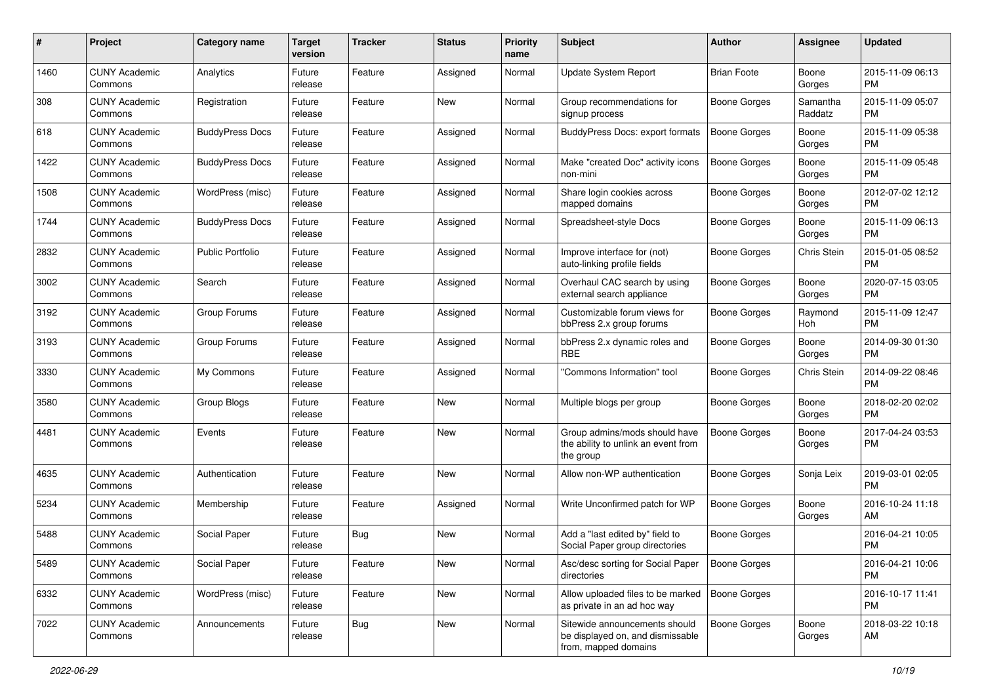| #    | Project                         | <b>Category name</b>    | <b>Target</b><br>version | <b>Tracker</b> | <b>Status</b> | <b>Priority</b><br>name | Subject                                                                                   | Author              | <b>Assignee</b>     | <b>Updated</b>                |
|------|---------------------------------|-------------------------|--------------------------|----------------|---------------|-------------------------|-------------------------------------------------------------------------------------------|---------------------|---------------------|-------------------------------|
| 1460 | <b>CUNY Academic</b><br>Commons | Analytics               | Future<br>release        | Feature        | Assigned      | Normal                  | <b>Update System Report</b>                                                               | <b>Brian Foote</b>  | Boone<br>Gorges     | 2015-11-09 06:13<br>РM        |
| 308  | <b>CUNY Academic</b><br>Commons | Registration            | Future<br>release        | Feature        | <b>New</b>    | Normal                  | Group recommendations for<br>signup process                                               | <b>Boone Gorges</b> | Samantha<br>Raddatz | 2015-11-09 05:07<br><b>PM</b> |
| 618  | <b>CUNY Academic</b><br>Commons | <b>BuddyPress Docs</b>  | Future<br>release        | Feature        | Assigned      | Normal                  | <b>BuddyPress Docs: export formats</b>                                                    | <b>Boone Gorges</b> | Boone<br>Gorges     | 2015-11-09 05:38<br><b>PM</b> |
| 1422 | <b>CUNY Academic</b><br>Commons | <b>BuddyPress Docs</b>  | Future<br>release        | Feature        | Assigned      | Normal                  | Make "created Doc" activity icons<br>non-mini                                             | Boone Gorges        | Boone<br>Gorges     | 2015-11-09 05:48<br><b>PM</b> |
| 1508 | <b>CUNY Academic</b><br>Commons | WordPress (misc)        | Future<br>release        | Feature        | Assigned      | Normal                  | Share login cookies across<br>mapped domains                                              | <b>Boone Gorges</b> | Boone<br>Gorges     | 2012-07-02 12:12<br><b>PM</b> |
| 1744 | <b>CUNY Academic</b><br>Commons | <b>BuddyPress Docs</b>  | Future<br>release        | Feature        | Assigned      | Normal                  | Spreadsheet-style Docs                                                                    | <b>Boone Gorges</b> | Boone<br>Gorges     | 2015-11-09 06:13<br><b>PM</b> |
| 2832 | <b>CUNY Academic</b><br>Commons | <b>Public Portfolio</b> | Future<br>release        | Feature        | Assigned      | Normal                  | Improve interface for (not)<br>auto-linking profile fields                                | <b>Boone Gorges</b> | Chris Stein         | 2015-01-05 08:52<br><b>PM</b> |
| 3002 | <b>CUNY Academic</b><br>Commons | Search                  | Future<br>release        | Feature        | Assigned      | Normal                  | Overhaul CAC search by using<br>external search appliance                                 | <b>Boone Gorges</b> | Boone<br>Gorges     | 2020-07-15 03:05<br><b>PM</b> |
| 3192 | <b>CUNY Academic</b><br>Commons | Group Forums            | Future<br>release        | Feature        | Assigned      | Normal                  | Customizable forum views for<br>bbPress 2.x group forums                                  | <b>Boone Gorges</b> | Raymond<br>Hoh      | 2015-11-09 12:47<br><b>PM</b> |
| 3193 | <b>CUNY Academic</b><br>Commons | Group Forums            | Future<br>release        | Feature        | Assigned      | Normal                  | bbPress 2.x dynamic roles and<br><b>RBE</b>                                               | <b>Boone Gorges</b> | Boone<br>Gorges     | 2014-09-30 01:30<br><b>PM</b> |
| 3330 | <b>CUNY Academic</b><br>Commons | My Commons              | Future<br>release        | Feature        | Assigned      | Normal                  | 'Commons Information" tool                                                                | Boone Gorges        | Chris Stein         | 2014-09-22 08:46<br><b>PM</b> |
| 3580 | <b>CUNY Academic</b><br>Commons | Group Blogs             | Future<br>release        | Feature        | <b>New</b>    | Normal                  | Multiple blogs per group                                                                  | Boone Gorges        | Boone<br>Gorges     | 2018-02-20 02:02<br><b>PM</b> |
| 4481 | <b>CUNY Academic</b><br>Commons | Events                  | Future<br>release        | Feature        | <b>New</b>    | Normal                  | Group admins/mods should have<br>the ability to unlink an event from<br>the group         | <b>Boone Gorges</b> | Boone<br>Gorges     | 2017-04-24 03:53<br><b>PM</b> |
| 4635 | <b>CUNY Academic</b><br>Commons | Authentication          | Future<br>release        | Feature        | <b>New</b>    | Normal                  | Allow non-WP authentication                                                               | <b>Boone Gorges</b> | Sonja Leix          | 2019-03-01 02:05<br><b>PM</b> |
| 5234 | <b>CUNY Academic</b><br>Commons | Membership              | Future<br>release        | Feature        | Assigned      | Normal                  | Write Unconfirmed patch for WP                                                            | <b>Boone Gorges</b> | Boone<br>Gorges     | 2016-10-24 11:18<br>AM        |
| 5488 | <b>CUNY Academic</b><br>Commons | Social Paper            | Future<br>release        | <b>Bug</b>     | <b>New</b>    | Normal                  | Add a "last edited by" field to<br>Social Paper group directories                         | <b>Boone Gorges</b> |                     | 2016-04-21 10:05<br><b>PM</b> |
| 5489 | <b>CUNY Academic</b><br>Commons | Social Paper            | Future<br>release        | Feature        | New           | Normal                  | Asc/desc sorting for Social Paper<br>directories                                          | <b>Boone Gorges</b> |                     | 2016-04-21 10:06<br>PM        |
| 6332 | <b>CUNY Academic</b><br>Commons | WordPress (misc)        | Future<br>release        | Feature        | New           | Normal                  | Allow uploaded files to be marked<br>as private in an ad hoc way                          | Boone Gorges        |                     | 2016-10-17 11:41<br>PM        |
| 7022 | <b>CUNY Academic</b><br>Commons | Announcements           | Future<br>release        | <b>Bug</b>     | New           | Normal                  | Sitewide announcements should<br>be displayed on, and dismissable<br>from, mapped domains | <b>Boone Gorges</b> | Boone<br>Gorges     | 2018-03-22 10:18<br>AM        |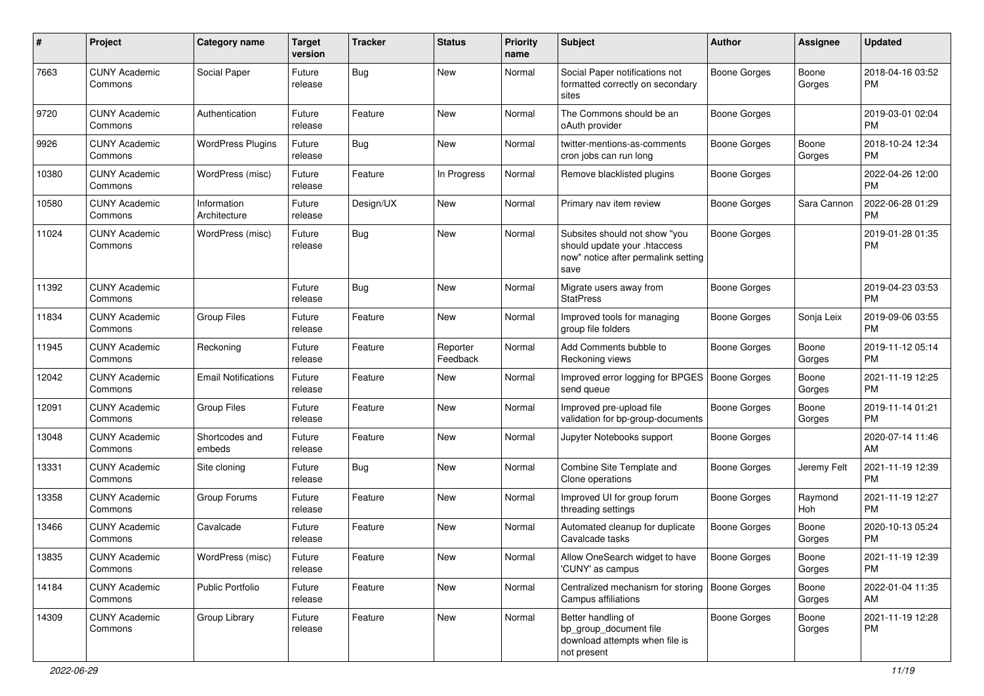| #     | Project                         | <b>Category name</b>        | Target<br>version | <b>Tracker</b> | <b>Status</b>        | <b>Priority</b><br>name | <b>Subject</b>                                                                                               | Author              | <b>Assignee</b> | <b>Updated</b>                |
|-------|---------------------------------|-----------------------------|-------------------|----------------|----------------------|-------------------------|--------------------------------------------------------------------------------------------------------------|---------------------|-----------------|-------------------------------|
| 7663  | <b>CUNY Academic</b><br>Commons | Social Paper                | Future<br>release | Bug            | New                  | Normal                  | Social Paper notifications not<br>formatted correctly on secondary<br>sites                                  | <b>Boone Gorges</b> | Boone<br>Gorges | 2018-04-16 03:52<br>PM        |
| 9720  | <b>CUNY Academic</b><br>Commons | Authentication              | Future<br>release | Feature        | <b>New</b>           | Normal                  | The Commons should be an<br>oAuth provider                                                                   | <b>Boone Gorges</b> |                 | 2019-03-01 02:04<br><b>PM</b> |
| 9926  | <b>CUNY Academic</b><br>Commons | <b>WordPress Plugins</b>    | Future<br>release | Bug            | New                  | Normal                  | twitter-mentions-as-comments<br>cron jobs can run long                                                       | <b>Boone Gorges</b> | Boone<br>Gorges | 2018-10-24 12:34<br><b>PM</b> |
| 10380 | <b>CUNY Academic</b><br>Commons | WordPress (misc)            | Future<br>release | Feature        | In Progress          | Normal                  | Remove blacklisted plugins                                                                                   | <b>Boone Gorges</b> |                 | 2022-04-26 12:00<br><b>PM</b> |
| 10580 | <b>CUNY Academic</b><br>Commons | Information<br>Architecture | Future<br>release | Design/UX      | New                  | Normal                  | Primary nav item review                                                                                      | Boone Gorges        | Sara Cannon     | 2022-06-28 01:29<br>PM        |
| 11024 | <b>CUNY Academic</b><br>Commons | WordPress (misc)            | Future<br>release | Bug            | <b>New</b>           | Normal                  | Subsites should not show "you<br>should update your .htaccess<br>now" notice after permalink setting<br>save | <b>Boone Gorges</b> |                 | 2019-01-28 01:35<br><b>PM</b> |
| 11392 | <b>CUNY Academic</b><br>Commons |                             | Future<br>release | Bug            | <b>New</b>           | Normal                  | Migrate users away from<br><b>StatPress</b>                                                                  | <b>Boone Gorges</b> |                 | 2019-04-23 03:53<br><b>PM</b> |
| 11834 | <b>CUNY Academic</b><br>Commons | <b>Group Files</b>          | Future<br>release | Feature        | <b>New</b>           | Normal                  | Improved tools for managing<br>group file folders                                                            | <b>Boone Gorges</b> | Sonja Leix      | 2019-09-06 03:55<br><b>PM</b> |
| 11945 | <b>CUNY Academic</b><br>Commons | Reckoning                   | Future<br>release | Feature        | Reporter<br>Feedback | Normal                  | Add Comments bubble to<br>Reckoning views                                                                    | <b>Boone Gorges</b> | Boone<br>Gorges | 2019-11-12 05:14<br><b>PM</b> |
| 12042 | <b>CUNY Academic</b><br>Commons | <b>Email Notifications</b>  | Future<br>release | Feature        | New                  | Normal                  | Improved error logging for BPGES<br>send queue                                                               | <b>Boone Gorges</b> | Boone<br>Gorges | 2021-11-19 12:25<br><b>PM</b> |
| 12091 | <b>CUNY Academic</b><br>Commons | <b>Group Files</b>          | Future<br>release | Feature        | New                  | Normal                  | Improved pre-upload file<br>validation for bp-group-documents                                                | <b>Boone Gorges</b> | Boone<br>Gorges | 2019-11-14 01:21<br><b>PM</b> |
| 13048 | <b>CUNY Academic</b><br>Commons | Shortcodes and<br>embeds    | Future<br>release | Feature        | <b>New</b>           | Normal                  | Jupyter Notebooks support                                                                                    | <b>Boone Gorges</b> |                 | 2020-07-14 11:46<br>AM        |
| 13331 | <b>CUNY Academic</b><br>Commons | Site cloning                | Future<br>release | Bug            | <b>New</b>           | Normal                  | Combine Site Template and<br>Clone operations                                                                | <b>Boone Gorges</b> | Jeremy Felt     | 2021-11-19 12:39<br><b>PM</b> |
| 13358 | <b>CUNY Academic</b><br>Commons | Group Forums                | Future<br>release | Feature        | New                  | Normal                  | Improved UI for group forum<br>threading settings                                                            | <b>Boone Gorges</b> | Raymond<br>Hoh  | 2021-11-19 12:27<br><b>PM</b> |
| 13466 | <b>CUNY Academic</b><br>Commons | Cavalcade                   | Future<br>release | Feature        | New                  | Normal                  | Automated cleanup for duplicate<br>Cavalcade tasks                                                           | <b>Boone Gorges</b> | Boone<br>Gorges | 2020-10-13 05:24<br>PM        |
| 13835 | <b>CUNY Academic</b><br>Commons | WordPress (misc)            | Future<br>release | Feature        | New                  | Normal                  | Allow OneSearch widget to have<br>'CUNY' as campus                                                           | Boone Gorges        | Boone<br>Gorges | 2021-11-19 12:39<br><b>PM</b> |
| 14184 | <b>CUNY Academic</b><br>Commons | Public Portfolio            | Future<br>release | Feature        | New                  | Normal                  | Centralized mechanism for storing<br>Campus affiliations                                                     | <b>Boone Gorges</b> | Boone<br>Gorges | 2022-01-04 11:35<br>AM        |
| 14309 | <b>CUNY Academic</b><br>Commons | Group Library               | Future<br>release | Feature        | New                  | Normal                  | Better handling of<br>bp_group_document file<br>download attempts when file is<br>not present                | <b>Boone Gorges</b> | Boone<br>Gorges | 2021-11-19 12:28<br><b>PM</b> |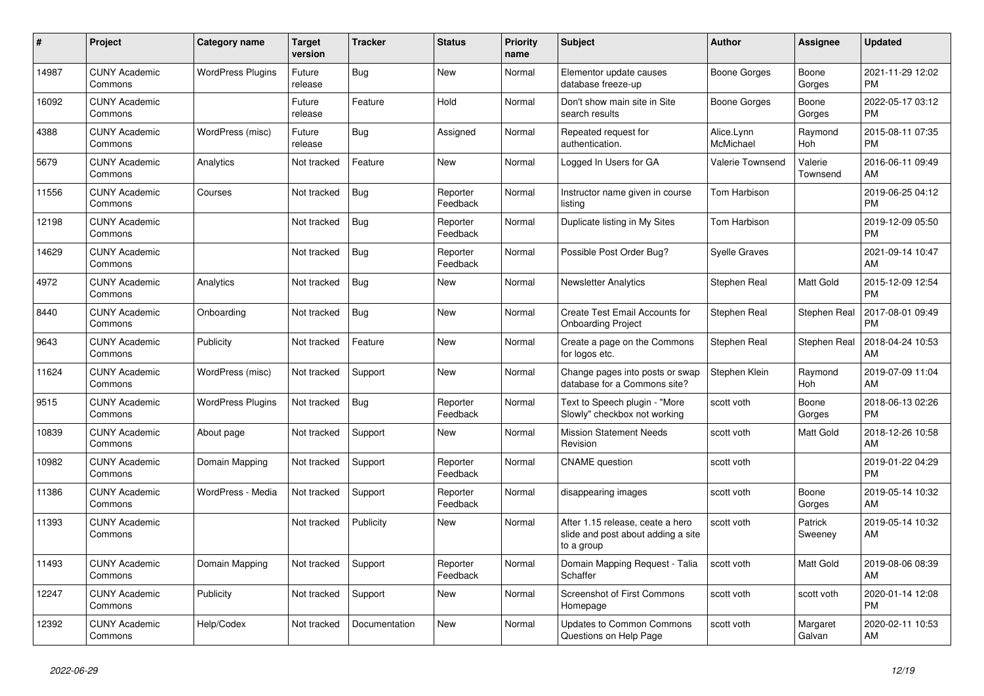| #     | <b>Project</b>                  | Category name            | <b>Target</b><br>version | <b>Tracker</b> | <b>Status</b>        | Priority<br>name | <b>Subject</b>                                                                       | <b>Author</b>           | Assignee            | <b>Updated</b>                |
|-------|---------------------------------|--------------------------|--------------------------|----------------|----------------------|------------------|--------------------------------------------------------------------------------------|-------------------------|---------------------|-------------------------------|
| 14987 | <b>CUNY Academic</b><br>Commons | <b>WordPress Plugins</b> | Future<br>release        | Bug            | <b>New</b>           | Normal           | Elementor update causes<br>database freeze-up                                        | Boone Gorges            | Boone<br>Gorges     | 2021-11-29 12:02<br><b>PM</b> |
| 16092 | <b>CUNY Academic</b><br>Commons |                          | Future<br>release        | Feature        | Hold                 | Normal           | Don't show main site in Site<br>search results                                       | Boone Gorges            | Boone<br>Gorges     | 2022-05-17 03:12<br><b>PM</b> |
| 4388  | <b>CUNY Academic</b><br>Commons | WordPress (misc)         | Future<br>release        | <b>Bug</b>     | Assigned             | Normal           | Repeated request for<br>authentication.                                              | Alice.Lynn<br>McMichael | Raymond<br>Hoh      | 2015-08-11 07:35<br><b>PM</b> |
| 5679  | <b>CUNY Academic</b><br>Commons | Analytics                | Not tracked              | Feature        | <b>New</b>           | Normal           | Logged In Users for GA                                                               | Valerie Townsend        | Valerie<br>Townsend | 2016-06-11 09:49<br>AM        |
| 11556 | <b>CUNY Academic</b><br>Commons | Courses                  | Not tracked              | <b>Bug</b>     | Reporter<br>Feedback | Normal           | Instructor name given in course<br>listing                                           | Tom Harbison            |                     | 2019-06-25 04:12<br>PM        |
| 12198 | <b>CUNY Academic</b><br>Commons |                          | Not tracked              | <b>Bug</b>     | Reporter<br>Feedback | Normal           | Duplicate listing in My Sites                                                        | Tom Harbison            |                     | 2019-12-09 05:50<br><b>PM</b> |
| 14629 | <b>CUNY Academic</b><br>Commons |                          | Not tracked              | Bug            | Reporter<br>Feedback | Normal           | Possible Post Order Bug?                                                             | <b>Syelle Graves</b>    |                     | 2021-09-14 10:47<br>AM        |
| 4972  | <b>CUNY Academic</b><br>Commons | Analytics                | Not tracked              | Bug            | <b>New</b>           | Normal           | Newsletter Analytics                                                                 | Stephen Real            | <b>Matt Gold</b>    | 2015-12-09 12:54<br><b>PM</b> |
| 8440  | <b>CUNY Academic</b><br>Commons | Onboarding               | Not tracked              | <b>Bug</b>     | <b>New</b>           | Normal           | Create Test Email Accounts for<br><b>Onboarding Project</b>                          | Stephen Real            | Stephen Real        | 2017-08-01 09:49<br><b>PM</b> |
| 9643  | <b>CUNY Academic</b><br>Commons | Publicity                | Not tracked              | Feature        | <b>New</b>           | Normal           | Create a page on the Commons<br>for logos etc.                                       | Stephen Real            | Stephen Real        | 2018-04-24 10:53<br>AM        |
| 11624 | <b>CUNY Academic</b><br>Commons | WordPress (misc)         | Not tracked              | Support        | <b>New</b>           | Normal           | Change pages into posts or swap<br>database for a Commons site?                      | Stephen Klein           | Raymond<br>Hoh      | 2019-07-09 11:04<br>AM        |
| 9515  | <b>CUNY Academic</b><br>Commons | <b>WordPress Plugins</b> | Not tracked              | <b>Bug</b>     | Reporter<br>Feedback | Normal           | Text to Speech plugin - "More<br>Slowly" checkbox not working                        | scott voth              | Boone<br>Gorges     | 2018-06-13 02:26<br><b>PM</b> |
| 10839 | <b>CUNY Academic</b><br>Commons | About page               | Not tracked              | Support        | New                  | Normal           | <b>Mission Statement Needs</b><br>Revision                                           | scott voth              | <b>Matt Gold</b>    | 2018-12-26 10:58<br>AM        |
| 10982 | <b>CUNY Academic</b><br>Commons | Domain Mapping           | Not tracked              | Support        | Reporter<br>Feedback | Normal           | <b>CNAME</b> question                                                                | scott voth              |                     | 2019-01-22 04:29<br><b>PM</b> |
| 11386 | <b>CUNY Academic</b><br>Commons | WordPress - Media        | Not tracked              | Support        | Reporter<br>Feedback | Normal           | disappearing images                                                                  | scott voth              | Boone<br>Gorges     | 2019-05-14 10:32<br>AM        |
| 11393 | <b>CUNY Academic</b><br>Commons |                          | Not tracked              | Publicity      | New                  | Normal           | After 1.15 release, ceate a hero<br>slide and post about adding a site<br>to a group | scott voth              | Patrick<br>Sweeney  | 2019-05-14 10:32<br>AM        |
| 11493 | <b>CUNY Academic</b><br>Commons | Domain Mapping           | Not tracked              | Support        | Reporter<br>Feedback | Normal           | Domain Mapping Request - Talia<br>Schaffer                                           | scott voth              | <b>Matt Gold</b>    | 2019-08-06 08:39<br>AM        |
| 12247 | <b>CUNY Academic</b><br>Commons | Publicity                | Not tracked              | Support        | New                  | Normal           | Screenshot of First Commons<br>Homepage                                              | scott voth              | scott voth          | 2020-01-14 12:08<br><b>PM</b> |
| 12392 | <b>CUNY Academic</b><br>Commons | Help/Codex               | Not tracked              | Documentation  | <b>New</b>           | Normal           | <b>Updates to Common Commons</b><br>Questions on Help Page                           | scott voth              | Margaret<br>Galvan  | 2020-02-11 10:53<br>AM        |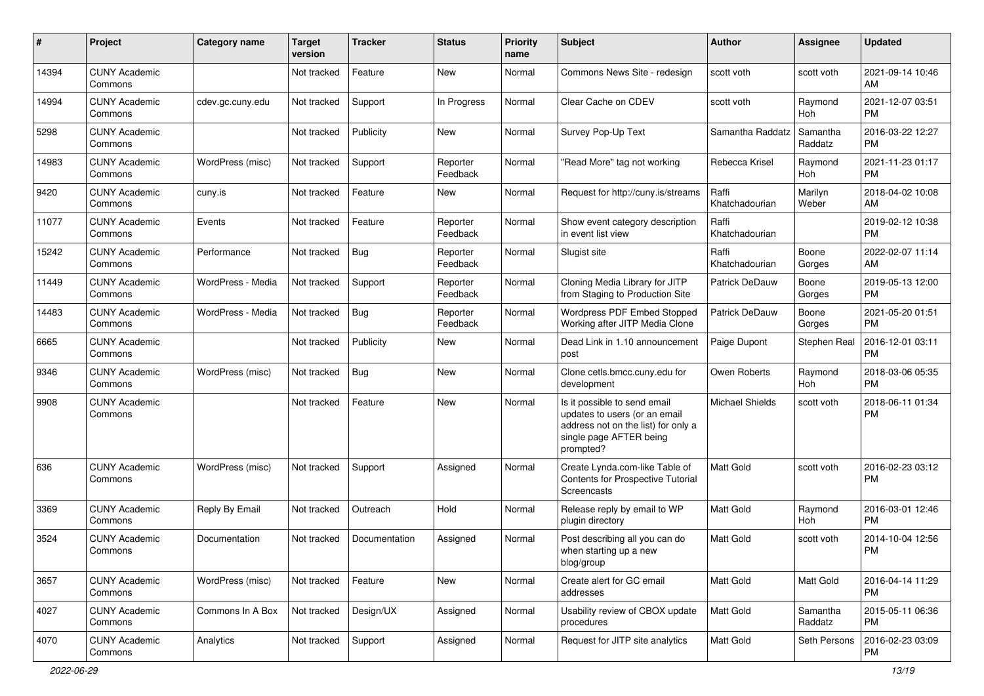| #     | Project                         | <b>Category name</b> | <b>Target</b><br>version | <b>Tracker</b> | <b>Status</b>        | <b>Priority</b><br>name | Subject                                                                                                                                      | <b>Author</b>           | <b>Assignee</b>       | <b>Updated</b>                |
|-------|---------------------------------|----------------------|--------------------------|----------------|----------------------|-------------------------|----------------------------------------------------------------------------------------------------------------------------------------------|-------------------------|-----------------------|-------------------------------|
| 14394 | <b>CUNY Academic</b><br>Commons |                      | Not tracked              | Feature        | <b>New</b>           | Normal                  | Commons News Site - redesign                                                                                                                 | scott voth              | scott voth            | 2021-09-14 10:46<br>AM        |
| 14994 | <b>CUNY Academic</b><br>Commons | cdev.gc.cuny.edu     | Not tracked              | Support        | In Progress          | Normal                  | Clear Cache on CDEV                                                                                                                          | scott voth              | Raymond<br><b>Hoh</b> | 2021-12-07 03:51<br><b>PM</b> |
| 5298  | <b>CUNY Academic</b><br>Commons |                      | Not tracked              | Publicity      | New                  | Normal                  | Survey Pop-Up Text                                                                                                                           | Samantha Raddatz        | Samantha<br>Raddatz   | 2016-03-22 12:27<br><b>PM</b> |
| 14983 | <b>CUNY Academic</b><br>Commons | WordPress (misc)     | Not tracked              | Support        | Reporter<br>Feedback | Normal                  | "Read More" tag not working                                                                                                                  | Rebecca Krisel          | Raymond<br>Hoh        | 2021-11-23 01:17<br><b>PM</b> |
| 9420  | <b>CUNY Academic</b><br>Commons | cuny.is              | Not tracked              | Feature        | New                  | Normal                  | Request for http://cuny.is/streams                                                                                                           | Raffi<br>Khatchadourian | Marilyn<br>Weber      | 2018-04-02 10:08<br>AM        |
| 11077 | <b>CUNY Academic</b><br>Commons | Events               | Not tracked              | Feature        | Reporter<br>Feedback | Normal                  | Show event category description<br>in event list view                                                                                        | Raffi<br>Khatchadourian |                       | 2019-02-12 10:38<br><b>PM</b> |
| 15242 | <b>CUNY Academic</b><br>Commons | Performance          | Not tracked              | <b>Bug</b>     | Reporter<br>Feedback | Normal                  | Slugist site                                                                                                                                 | Raffi<br>Khatchadourian | Boone<br>Gorges       | 2022-02-07 11:14<br>AM        |
| 11449 | <b>CUNY Academic</b><br>Commons | WordPress - Media    | Not tracked              | Support        | Reporter<br>Feedback | Normal                  | Cloning Media Library for JITP<br>from Staging to Production Site                                                                            | <b>Patrick DeDauw</b>   | Boone<br>Gorges       | 2019-05-13 12:00<br><b>PM</b> |
| 14483 | <b>CUNY Academic</b><br>Commons | WordPress - Media    | Not tracked              | <b>Bug</b>     | Reporter<br>Feedback | Normal                  | Wordpress PDF Embed Stopped<br>Working after JITP Media Clone                                                                                | <b>Patrick DeDauw</b>   | Boone<br>Gorges       | 2021-05-20 01:51<br><b>PM</b> |
| 6665  | <b>CUNY Academic</b><br>Commons |                      | Not tracked              | Publicity      | New                  | Normal                  | Dead Link in 1.10 announcement<br>post                                                                                                       | Paige Dupont            | Stephen Real          | 2016-12-01 03:11<br><b>PM</b> |
| 9346  | <b>CUNY Academic</b><br>Commons | WordPress (misc)     | Not tracked              | Bug            | New                  | Normal                  | Clone cetls.bmcc.cuny.edu for<br>development                                                                                                 | Owen Roberts            | Raymond<br>Hoh        | 2018-03-06 05:35<br><b>PM</b> |
| 9908  | <b>CUNY Academic</b><br>Commons |                      | Not tracked              | Feature        | <b>New</b>           | Normal                  | Is it possible to send email<br>updates to users (or an email<br>address not on the list) for only a<br>single page AFTER being<br>prompted? | <b>Michael Shields</b>  | scott voth            | 2018-06-11 01:34<br><b>PM</b> |
| 636   | <b>CUNY Academic</b><br>Commons | WordPress (misc)     | Not tracked              | Support        | Assigned             | Normal                  | Create Lynda.com-like Table of<br>Contents for Prospective Tutorial<br>Screencasts                                                           | <b>Matt Gold</b>        | scott voth            | 2016-02-23 03:12<br><b>PM</b> |
| 3369  | <b>CUNY Academic</b><br>Commons | Reply By Email       | Not tracked              | Outreach       | Hold                 | Normal                  | Release reply by email to WP<br>plugin directory                                                                                             | <b>Matt Gold</b>        | Raymond<br>Hoh        | 2016-03-01 12:46<br><b>PM</b> |
| 3524  | <b>CUNY Academic</b><br>Commons | Documentation        | Not tracked              | Documentation  | Assigned             | Normal                  | Post describing all you can do<br>when starting up a new<br>blog/group                                                                       | Matt Gold               | scott voth            | 2014-10-04 12:56<br><b>PM</b> |
| 3657  | <b>CUNY Academic</b><br>Commons | WordPress (misc)     | Not tracked              | Feature        | New                  | Normal                  | Create alert for GC email<br>addresses                                                                                                       | Matt Gold               | Matt Gold             | 2016-04-14 11:29<br><b>PM</b> |
| 4027  | <b>CUNY Academic</b><br>Commons | Commons In A Box     | Not tracked              | Design/UX      | Assigned             | Normal                  | Usability review of CBOX update<br>procedures                                                                                                | Matt Gold               | Samantha<br>Raddatz   | 2015-05-11 06:36<br><b>PM</b> |
| 4070  | <b>CUNY Academic</b><br>Commons | Analytics            | Not tracked              | Support        | Assigned             | Normal                  | Request for JITP site analytics                                                                                                              | Matt Gold               | Seth Persons          | 2016-02-23 03:09<br>PM        |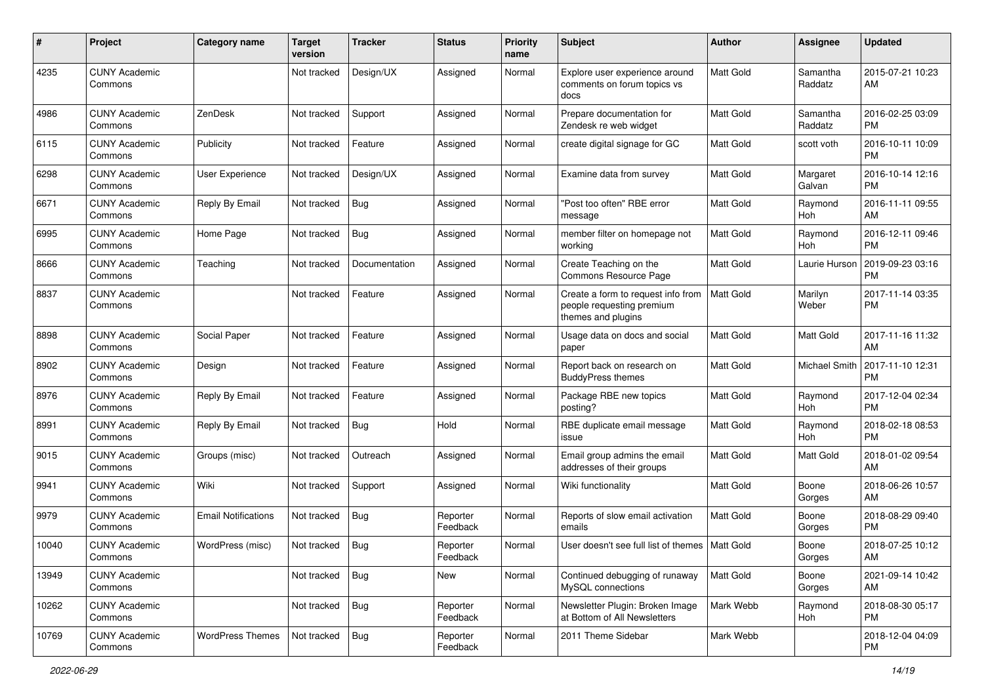| #     | Project                         | <b>Category name</b>       | <b>Target</b><br>version | <b>Tracker</b> | <b>Status</b>        | <b>Priority</b><br>name | Subject                                                                               | Author           | <b>Assignee</b>      | <b>Updated</b>                |
|-------|---------------------------------|----------------------------|--------------------------|----------------|----------------------|-------------------------|---------------------------------------------------------------------------------------|------------------|----------------------|-------------------------------|
| 4235  | <b>CUNY Academic</b><br>Commons |                            | Not tracked              | Design/UX      | Assigned             | Normal                  | Explore user experience around<br>comments on forum topics vs<br>docs                 | <b>Matt Gold</b> | Samantha<br>Raddatz  | 2015-07-21 10:23<br>AM        |
| 4986  | <b>CUNY Academic</b><br>Commons | ZenDesk                    | Not tracked              | Support        | Assigned             | Normal                  | Prepare documentation for<br>Zendesk re web widget                                    | <b>Matt Gold</b> | Samantha<br>Raddatz  | 2016-02-25 03:09<br><b>PM</b> |
| 6115  | <b>CUNY Academic</b><br>Commons | Publicity                  | Not tracked              | Feature        | Assigned             | Normal                  | create digital signage for GC                                                         | Matt Gold        | scott voth           | 2016-10-11 10:09<br><b>PM</b> |
| 6298  | <b>CUNY Academic</b><br>Commons | User Experience            | Not tracked              | Design/UX      | Assigned             | Normal                  | Examine data from survey                                                              | <b>Matt Gold</b> | Margaret<br>Galvan   | 2016-10-14 12:16<br><b>PM</b> |
| 6671  | <b>CUNY Academic</b><br>Commons | Reply By Email             | Not tracked              | Bug            | Assigned             | Normal                  | "Post too often" RBE error<br>message                                                 | Matt Gold        | Raymond<br>Hoh       | 2016-11-11 09:55<br>AM        |
| 6995  | <b>CUNY Academic</b><br>Commons | Home Page                  | Not tracked              | <b>Bug</b>     | Assigned             | Normal                  | member filter on homepage not<br>working                                              | <b>Matt Gold</b> | Raymond<br>Hoh       | 2016-12-11 09:46<br><b>PM</b> |
| 8666  | <b>CUNY Academic</b><br>Commons | Teaching                   | Not tracked              | Documentation  | Assigned             | Normal                  | Create Teaching on the<br>Commons Resource Page                                       | Matt Gold        | Laurie Hurson        | 2019-09-23 03:16<br><b>PM</b> |
| 8837  | <b>CUNY Academic</b><br>Commons |                            | Not tracked              | Feature        | Assigned             | Normal                  | Create a form to request info from<br>people requesting premium<br>themes and plugins | <b>Matt Gold</b> | Marilyn<br>Weber     | 2017-11-14 03:35<br><b>PM</b> |
| 8898  | <b>CUNY Academic</b><br>Commons | Social Paper               | Not tracked              | Feature        | Assigned             | Normal                  | Usage data on docs and social<br>paper                                                | Matt Gold        | Matt Gold            | 2017-11-16 11:32<br>AM        |
| 8902  | <b>CUNY Academic</b><br>Commons | Design                     | Not tracked              | Feature        | Assigned             | Normal                  | Report back on research on<br><b>BuddyPress themes</b>                                | Matt Gold        | <b>Michael Smith</b> | 2017-11-10 12:31<br><b>PM</b> |
| 8976  | <b>CUNY Academic</b><br>Commons | Reply By Email             | Not tracked              | Feature        | Assigned             | Normal                  | Package RBE new topics<br>posting?                                                    | <b>Matt Gold</b> | Raymond<br>Hoh       | 2017-12-04 02:34<br><b>PM</b> |
| 8991  | <b>CUNY Academic</b><br>Commons | Reply By Email             | Not tracked              | <b>Bug</b>     | Hold                 | Normal                  | RBE duplicate email message<br>issue                                                  | <b>Matt Gold</b> | Raymond<br>Hoh       | 2018-02-18 08:53<br><b>PM</b> |
| 9015  | <b>CUNY Academic</b><br>Commons | Groups (misc)              | Not tracked              | Outreach       | Assigned             | Normal                  | Email group admins the email<br>addresses of their groups                             | Matt Gold        | Matt Gold            | 2018-01-02 09:54<br>AM        |
| 9941  | <b>CUNY Academic</b><br>Commons | Wiki                       | Not tracked              | Support        | Assigned             | Normal                  | Wiki functionality                                                                    | <b>Matt Gold</b> | Boone<br>Gorges      | 2018-06-26 10:57<br>AM        |
| 9979  | <b>CUNY Academic</b><br>Commons | <b>Email Notifications</b> | Not tracked              | Bug            | Reporter<br>Feedback | Normal                  | Reports of slow email activation<br>emails                                            | Matt Gold        | Boone<br>Gorges      | 2018-08-29 09:40<br><b>PM</b> |
| 10040 | <b>CUNY Academic</b><br>Commons | WordPress (misc)           | Not tracked              | <b>Bug</b>     | Reporter<br>Feedback | Normal                  | User doesn't see full list of themes   Matt Gold                                      |                  | Boone<br>Gorges      | 2018-07-25 10:12<br>AM        |
| 13949 | <b>CUNY Academic</b><br>Commons |                            | Not tracked              | Bug            | New                  | Normal                  | Continued debugging of runaway<br>MySQL connections                                   | Matt Gold        | Boone<br>Gorges      | 2021-09-14 10:42<br>AM        |
| 10262 | <b>CUNY Academic</b><br>Commons |                            | Not tracked              | Bug            | Reporter<br>Feedback | Normal                  | Newsletter Plugin: Broken Image<br>at Bottom of All Newsletters                       | Mark Webb        | Raymond<br>Hoh       | 2018-08-30 05:17<br>PM        |
| 10769 | <b>CUNY Academic</b><br>Commons | <b>WordPress Themes</b>    | Not tracked              | Bug            | Reporter<br>Feedback | Normal                  | 2011 Theme Sidebar                                                                    | Mark Webb        |                      | 2018-12-04 04:09<br><b>PM</b> |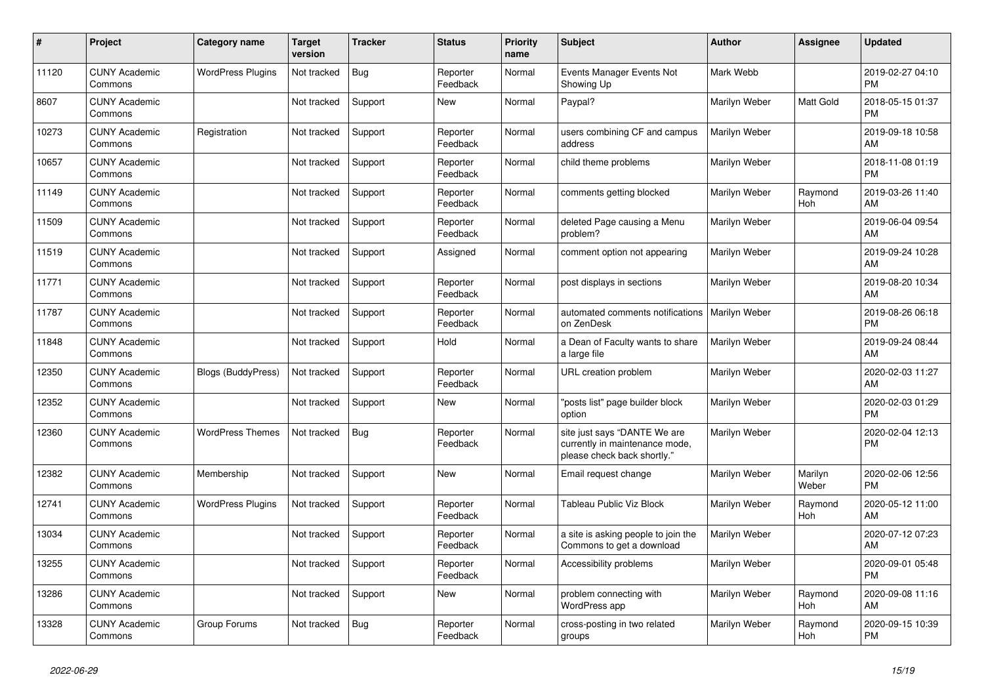| #     | Project                         | <b>Category name</b>      | Target<br>version | <b>Tracker</b> | <b>Status</b>        | <b>Priority</b><br>name | <b>Subject</b>                                                                                | <b>Author</b> | <b>Assignee</b>  | <b>Updated</b>                |
|-------|---------------------------------|---------------------------|-------------------|----------------|----------------------|-------------------------|-----------------------------------------------------------------------------------------------|---------------|------------------|-------------------------------|
| 11120 | <b>CUNY Academic</b><br>Commons | <b>WordPress Plugins</b>  | Not tracked       | <b>Bug</b>     | Reporter<br>Feedback | Normal                  | Events Manager Events Not<br>Showing Up                                                       | Mark Webb     |                  | 2019-02-27 04:10<br><b>PM</b> |
| 8607  | <b>CUNY Academic</b><br>Commons |                           | Not tracked       | Support        | New                  | Normal                  | Paypal?                                                                                       | Marilyn Weber | <b>Matt Gold</b> | 2018-05-15 01:37<br><b>PM</b> |
| 10273 | <b>CUNY Academic</b><br>Commons | Registration              | Not tracked       | Support        | Reporter<br>Feedback | Normal                  | users combining CF and campus<br>address                                                      | Marilyn Weber |                  | 2019-09-18 10:58<br>AM        |
| 10657 | <b>CUNY Academic</b><br>Commons |                           | Not tracked       | Support        | Reporter<br>Feedback | Normal                  | child theme problems                                                                          | Marilyn Weber |                  | 2018-11-08 01:19<br><b>PM</b> |
| 11149 | <b>CUNY Academic</b><br>Commons |                           | Not tracked       | Support        | Reporter<br>Feedback | Normal                  | comments getting blocked                                                                      | Marilyn Weber | Raymond<br>Hoh   | 2019-03-26 11:40<br>AM        |
| 11509 | <b>CUNY Academic</b><br>Commons |                           | Not tracked       | Support        | Reporter<br>Feedback | Normal                  | deleted Page causing a Menu<br>problem?                                                       | Marilyn Weber |                  | 2019-06-04 09:54<br>AM        |
| 11519 | <b>CUNY Academic</b><br>Commons |                           | Not tracked       | Support        | Assigned             | Normal                  | comment option not appearing                                                                  | Marilyn Weber |                  | 2019-09-24 10:28<br>AM        |
| 11771 | <b>CUNY Academic</b><br>Commons |                           | Not tracked       | Support        | Reporter<br>Feedback | Normal                  | post displays in sections                                                                     | Marilyn Weber |                  | 2019-08-20 10:34<br>AM        |
| 11787 | <b>CUNY Academic</b><br>Commons |                           | Not tracked       | Support        | Reporter<br>Feedback | Normal                  | automated comments notifications<br>on ZenDesk                                                | Marilyn Weber |                  | 2019-08-26 06:18<br><b>PM</b> |
| 11848 | <b>CUNY Academic</b><br>Commons |                           | Not tracked       | Support        | Hold                 | Normal                  | a Dean of Faculty wants to share<br>a large file                                              | Marilyn Weber |                  | 2019-09-24 08:44<br>AM        |
| 12350 | <b>CUNY Academic</b><br>Commons | <b>Blogs (BuddyPress)</b> | Not tracked       | Support        | Reporter<br>Feedback | Normal                  | URL creation problem                                                                          | Marilyn Weber |                  | 2020-02-03 11:27<br>AM        |
| 12352 | <b>CUNY Academic</b><br>Commons |                           | Not tracked       | Support        | <b>New</b>           | Normal                  | "posts list" page builder block<br>option                                                     | Marilyn Weber |                  | 2020-02-03 01:29<br><b>PM</b> |
| 12360 | <b>CUNY Academic</b><br>Commons | <b>WordPress Themes</b>   | Not tracked       | <b>Bug</b>     | Reporter<br>Feedback | Normal                  | site just says "DANTE We are<br>currently in maintenance mode,<br>please check back shortly." | Marilyn Weber |                  | 2020-02-04 12:13<br><b>PM</b> |
| 12382 | <b>CUNY Academic</b><br>Commons | Membership                | Not tracked       | Support        | <b>New</b>           | Normal                  | Email request change                                                                          | Marilyn Weber | Marilyn<br>Weber | 2020-02-06 12:56<br><b>PM</b> |
| 12741 | <b>CUNY Academic</b><br>Commons | <b>WordPress Plugins</b>  | Not tracked       | Support        | Reporter<br>Feedback | Normal                  | Tableau Public Viz Block                                                                      | Marilyn Weber | Raymond<br>Hoh   | 2020-05-12 11:00<br>AM        |
| 13034 | <b>CUNY Academic</b><br>Commons |                           | Not tracked       | Support        | Reporter<br>Feedback | Normal                  | a site is asking people to join the<br>Commons to get a download                              | Marilyn Weber |                  | 2020-07-12 07:23<br>AM        |
| 13255 | <b>CUNY Academic</b><br>Commons |                           | Not tracked       | Support        | Reporter<br>Feedback | Normal                  | Accessibility problems                                                                        | Marilyn Weber |                  | 2020-09-01 05:48<br><b>PM</b> |
| 13286 | <b>CUNY Academic</b><br>Commons |                           | Not tracked       | Support        | New                  | Normal                  | problem connecting with<br>WordPress app                                                      | Marilyn Weber | Raymond<br>Hoh   | 2020-09-08 11:16<br>AM        |
| 13328 | <b>CUNY Academic</b><br>Commons | Group Forums              | Not tracked       | Bug            | Reporter<br>Feedback | Normal                  | cross-posting in two related<br>groups                                                        | Marilyn Weber | Raymond<br>Hoh   | 2020-09-15 10:39<br><b>PM</b> |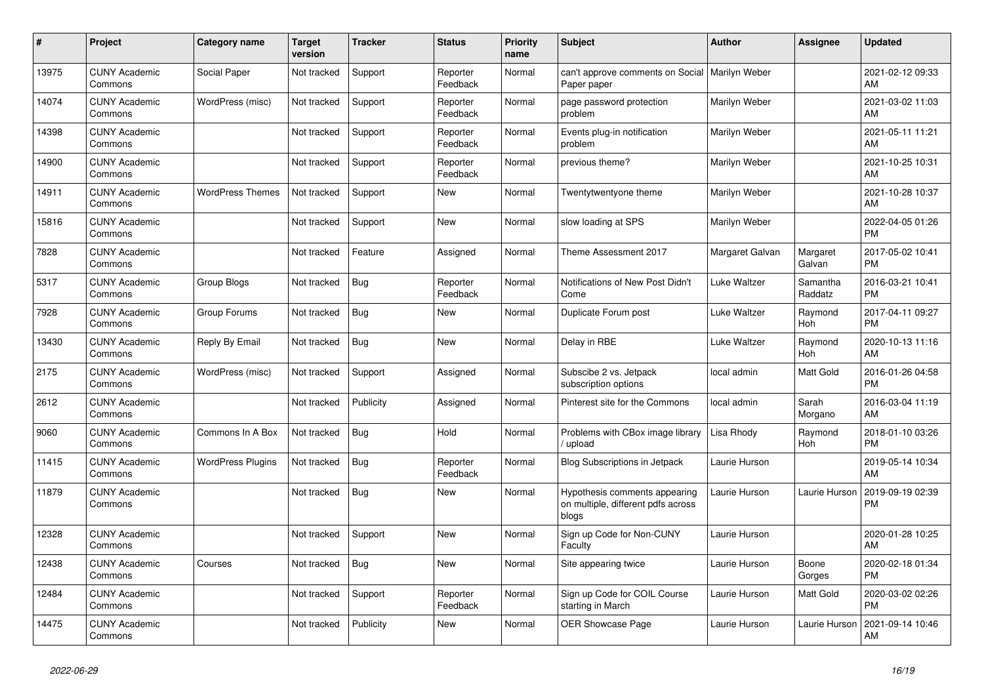| #     | <b>Project</b>                  | Category name            | <b>Target</b><br>version | <b>Tracker</b> | <b>Status</b>        | <b>Priority</b><br>name | <b>Subject</b>                                                               | <b>Author</b>        | <b>Assignee</b>       | <b>Updated</b>                |
|-------|---------------------------------|--------------------------|--------------------------|----------------|----------------------|-------------------------|------------------------------------------------------------------------------|----------------------|-----------------------|-------------------------------|
| 13975 | <b>CUNY Academic</b><br>Commons | Social Paper             | Not tracked              | Support        | Reporter<br>Feedback | Normal                  | can't approve comments on Social<br>Paper paper                              | <b>Marilyn Weber</b> |                       | 2021-02-12 09:33<br>AM        |
| 14074 | <b>CUNY Academic</b><br>Commons | WordPress (misc)         | Not tracked              | Support        | Reporter<br>Feedback | Normal                  | page password protection<br>problem                                          | Marilyn Weber        |                       | 2021-03-02 11:03<br>AM        |
| 14398 | <b>CUNY Academic</b><br>Commons |                          | Not tracked              | Support        | Reporter<br>Feedback | Normal                  | Events plug-in notification<br>problem                                       | Marilyn Weber        |                       | 2021-05-11 11:21<br>AM        |
| 14900 | <b>CUNY Academic</b><br>Commons |                          | Not tracked              | Support        | Reporter<br>Feedback | Normal                  | previous theme?                                                              | Marilyn Weber        |                       | 2021-10-25 10:31<br>AM        |
| 14911 | <b>CUNY Academic</b><br>Commons | <b>WordPress Themes</b>  | Not tracked              | Support        | <b>New</b>           | Normal                  | Twentytwentyone theme                                                        | Marilyn Weber        |                       | 2021-10-28 10:37<br>AM        |
| 15816 | <b>CUNY Academic</b><br>Commons |                          | Not tracked              | Support        | <b>New</b>           | Normal                  | slow loading at SPS                                                          | Marilyn Weber        |                       | 2022-04-05 01:26<br><b>PM</b> |
| 7828  | <b>CUNY Academic</b><br>Commons |                          | Not tracked              | Feature        | Assigned             | Normal                  | Theme Assessment 2017                                                        | Margaret Galvan      | Margaret<br>Galvan    | 2017-05-02 10:41<br><b>PM</b> |
| 5317  | <b>CUNY Academic</b><br>Commons | Group Blogs              | Not tracked              | Bug            | Reporter<br>Feedback | Normal                  | Notifications of New Post Didn't<br>Come                                     | Luke Waltzer         | Samantha<br>Raddatz   | 2016-03-21 10:41<br><b>PM</b> |
| 7928  | <b>CUNY Academic</b><br>Commons | Group Forums             | Not tracked              | <b>Bug</b>     | <b>New</b>           | Normal                  | Duplicate Forum post                                                         | Luke Waltzer         | Raymond<br>Hoh        | 2017-04-11 09:27<br><b>PM</b> |
| 13430 | <b>CUNY Academic</b><br>Commons | Reply By Email           | Not tracked              | <b>Bug</b>     | <b>New</b>           | Normal                  | Delay in RBE                                                                 | Luke Waltzer         | Raymond<br><b>Hoh</b> | 2020-10-13 11:16<br>AM        |
| 2175  | <b>CUNY Academic</b><br>Commons | WordPress (misc)         | Not tracked              | Support        | Assigned             | Normal                  | Subscibe 2 vs. Jetpack<br>subscription options                               | local admin          | Matt Gold             | 2016-01-26 04:58<br><b>PM</b> |
| 2612  | <b>CUNY Academic</b><br>Commons |                          | Not tracked              | Publicity      | Assigned             | Normal                  | Pinterest site for the Commons                                               | local admin          | Sarah<br>Morgano      | 2016-03-04 11:19<br>AM        |
| 9060  | <b>CUNY Academic</b><br>Commons | Commons In A Box         | Not tracked              | <b>Bug</b>     | Hold                 | Normal                  | Problems with CBox image library<br>/ upload                                 | Lisa Rhody           | Raymond<br>Hoh        | 2018-01-10 03:26<br><b>PM</b> |
| 11415 | <b>CUNY Academic</b><br>Commons | <b>WordPress Plugins</b> | Not tracked              | Bug            | Reporter<br>Feedback | Normal                  | <b>Blog Subscriptions in Jetpack</b>                                         | Laurie Hurson        |                       | 2019-05-14 10:34<br>AM        |
| 11879 | <b>CUNY Academic</b><br>Commons |                          | Not tracked              | <b>Bug</b>     | New                  | Normal                  | Hypothesis comments appearing<br>on multiple, different pdfs across<br>blogs | Laurie Hurson        | Laurie Hurson         | 2019-09-19 02:39<br><b>PM</b> |
| 12328 | <b>CUNY Academic</b><br>Commons |                          | Not tracked              | Support        | New                  | Normal                  | Sign up Code for Non-CUNY<br>Faculty                                         | Laurie Hurson        |                       | 2020-01-28 10:25<br>AM        |
| 12438 | <b>CUNY Academic</b><br>Commons | Courses                  | Not tracked              | <b>Bug</b>     | <b>New</b>           | Normal                  | Site appearing twice                                                         | Laurie Hurson        | Boone<br>Gorges       | 2020-02-18 01:34<br><b>PM</b> |
| 12484 | <b>CUNY Academic</b><br>Commons |                          | Not tracked              | Support        | Reporter<br>Feedback | Normal                  | Sign up Code for COIL Course<br>starting in March                            | Laurie Hurson        | <b>Matt Gold</b>      | 2020-03-02 02:26<br><b>PM</b> |
| 14475 | <b>CUNY Academic</b><br>Commons |                          | Not tracked              | Publicity      | <b>New</b>           | Normal                  | <b>OER Showcase Page</b>                                                     | Laurie Hurson        | Laurie Hurson         | 2021-09-14 10:46<br>AM        |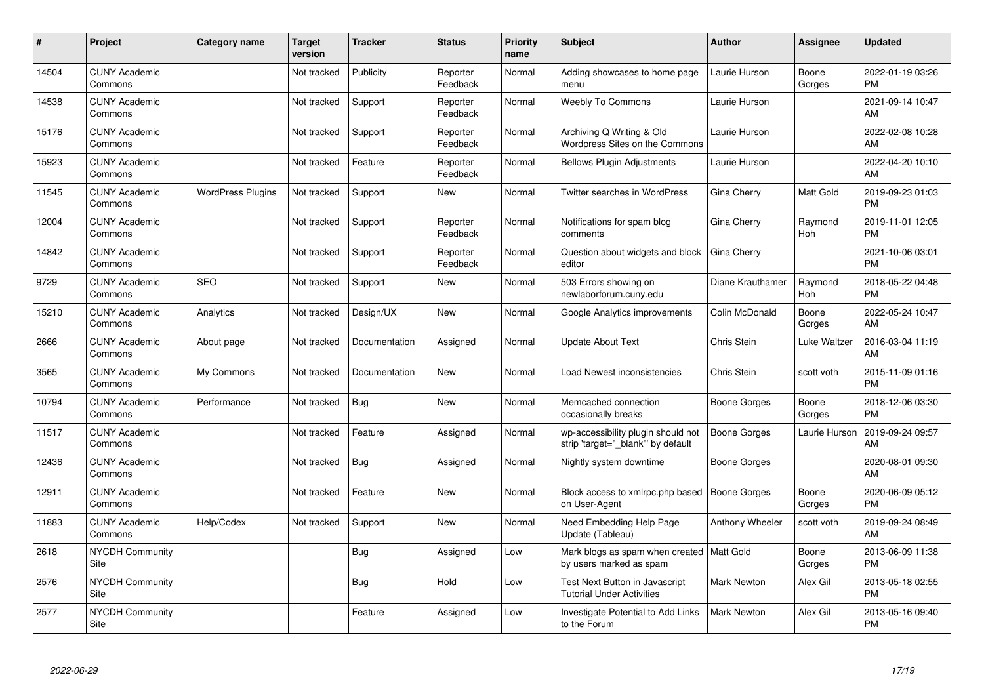| #     | Project                         | <b>Category name</b>     | <b>Target</b><br>version | <b>Tracker</b> | <b>Status</b>        | <b>Priority</b><br>name | <b>Subject</b>                                                          | <b>Author</b>       | <b>Assignee</b> | <b>Updated</b>                |
|-------|---------------------------------|--------------------------|--------------------------|----------------|----------------------|-------------------------|-------------------------------------------------------------------------|---------------------|-----------------|-------------------------------|
| 14504 | <b>CUNY Academic</b><br>Commons |                          | Not tracked              | Publicity      | Reporter<br>Feedback | Normal                  | Adding showcases to home page<br>menu                                   | Laurie Hurson       | Boone<br>Gorges | 2022-01-19 03:26<br><b>PM</b> |
| 14538 | <b>CUNY Academic</b><br>Commons |                          | Not tracked              | Support        | Reporter<br>Feedback | Normal                  | <b>Weebly To Commons</b>                                                | Laurie Hurson       |                 | 2021-09-14 10:47<br>AM        |
| 15176 | <b>CUNY Academic</b><br>Commons |                          | Not tracked              | Support        | Reporter<br>Feedback | Normal                  | Archiving Q Writing & Old<br>Wordpress Sites on the Commons             | Laurie Hurson       |                 | 2022-02-08 10:28<br>AM        |
| 15923 | <b>CUNY Academic</b><br>Commons |                          | Not tracked              | Feature        | Reporter<br>Feedback | Normal                  | <b>Bellows Plugin Adjustments</b>                                       | Laurie Hurson       |                 | 2022-04-20 10:10<br>AM        |
| 11545 | <b>CUNY Academic</b><br>Commons | <b>WordPress Plugins</b> | Not tracked              | Support        | <b>New</b>           | Normal                  | <b>Twitter searches in WordPress</b>                                    | Gina Cherry         | Matt Gold       | 2019-09-23 01:03<br><b>PM</b> |
| 12004 | <b>CUNY Academic</b><br>Commons |                          | Not tracked              | Support        | Reporter<br>Feedback | Normal                  | Notifications for spam blog<br>comments                                 | Gina Cherry         | Raymond<br>Hoh  | 2019-11-01 12:05<br><b>PM</b> |
| 14842 | <b>CUNY Academic</b><br>Commons |                          | Not tracked              | Support        | Reporter<br>Feedback | Normal                  | Question about widgets and block<br>editor                              | Gina Cherry         |                 | 2021-10-06 03:01<br><b>PM</b> |
| 9729  | <b>CUNY Academic</b><br>Commons | <b>SEO</b>               | Not tracked              | Support        | <b>New</b>           | Normal                  | 503 Errors showing on<br>newlaborforum.cuny.edu                         | Diane Krauthamer    | Raymond<br>Hoh  | 2018-05-22 04:48<br><b>PM</b> |
| 15210 | <b>CUNY Academic</b><br>Commons | Analytics                | Not tracked              | Design/UX      | <b>New</b>           | Normal                  | Google Analytics improvements                                           | Colin McDonald      | Boone<br>Gorges | 2022-05-24 10:47<br>AM        |
| 2666  | <b>CUNY Academic</b><br>Commons | About page               | Not tracked              | Documentation  | Assigned             | Normal                  | <b>Update About Text</b>                                                | Chris Stein         | Luke Waltzer    | 2016-03-04 11:19<br>AM        |
| 3565  | <b>CUNY Academic</b><br>Commons | My Commons               | Not tracked              | Documentation  | <b>New</b>           | Normal                  | Load Newest inconsistencies                                             | Chris Stein         | scott voth      | 2015-11-09 01:16<br><b>PM</b> |
| 10794 | <b>CUNY Academic</b><br>Commons | Performance              | Not tracked              | Bug            | <b>New</b>           | Normal                  | Memcached connection<br>occasionally breaks                             | Boone Gorges        | Boone<br>Gorges | 2018-12-06 03:30<br><b>PM</b> |
| 11517 | <b>CUNY Academic</b><br>Commons |                          | Not tracked              | Feature        | Assigned             | Normal                  | wp-accessibility plugin should not<br>strip 'target="_blank" by default | <b>Boone Gorges</b> | Laurie Hurson   | 2019-09-24 09:57<br>AM        |
| 12436 | <b>CUNY Academic</b><br>Commons |                          | Not tracked              | <b>Bug</b>     | Assigned             | Normal                  | Nightly system downtime                                                 | <b>Boone Gorges</b> |                 | 2020-08-01 09:30<br>AM        |
| 12911 | <b>CUNY Academic</b><br>Commons |                          | Not tracked              | Feature        | <b>New</b>           | Normal                  | Block access to xmlrpc.php based<br>on User-Agent                       | <b>Boone Gorges</b> | Boone<br>Gorges | 2020-06-09 05:12<br><b>PM</b> |
| 11883 | <b>CUNY Academic</b><br>Commons | Help/Codex               | Not tracked              | Support        | <b>New</b>           | Normal                  | Need Embedding Help Page<br>Update (Tableau)                            | Anthony Wheeler     | scott voth      | 2019-09-24 08:49<br>AM        |
| 2618  | <b>NYCDH Community</b><br>Site  |                          |                          | <b>Bug</b>     | Assigned             | Low                     | Mark blogs as spam when created   Matt Gold<br>by users marked as spam  |                     | Boone<br>Gorges | 2013-06-09 11:38<br><b>PM</b> |
| 2576  | <b>NYCDH Community</b><br>Site  |                          |                          | Bug            | Hold                 | Low                     | Test Next Button in Javascript<br><b>Tutorial Under Activities</b>      | <b>Mark Newton</b>  | Alex Gil        | 2013-05-18 02:55<br><b>PM</b> |
| 2577  | <b>NYCDH Community</b><br>Site  |                          |                          | Feature        | Assigned             | Low                     | Investigate Potential to Add Links<br>to the Forum                      | <b>Mark Newton</b>  | Alex Gil        | 2013-05-16 09:40<br><b>PM</b> |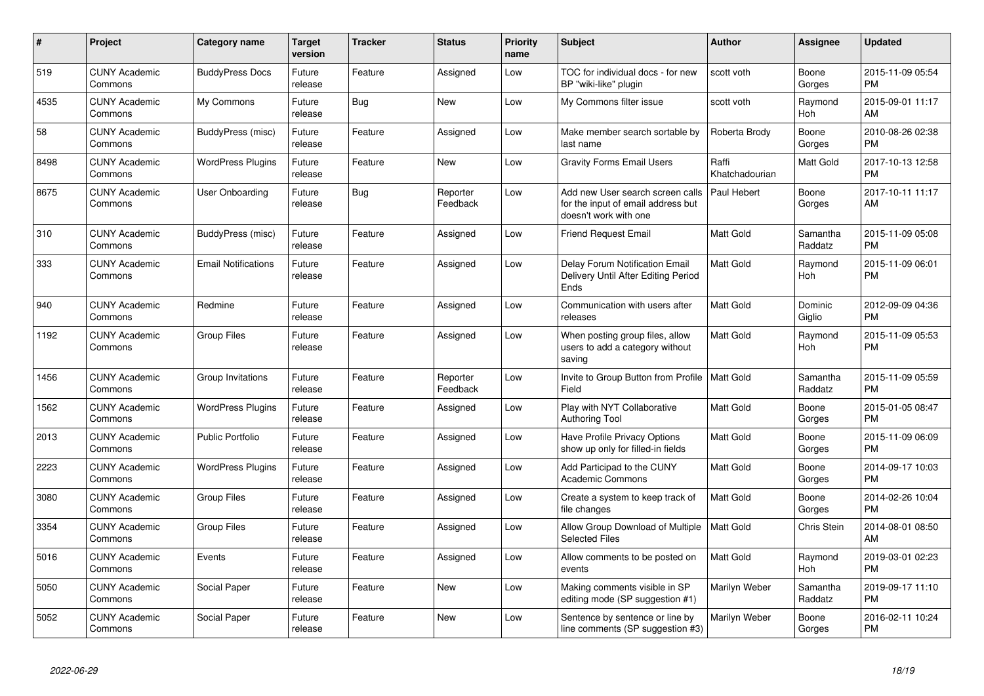| #    | <b>Project</b>                  | Category name              | <b>Target</b><br>version | <b>Tracker</b> | <b>Status</b>        | <b>Priority</b><br>name | <b>Subject</b>                                                                                  | Author                  | Assignee              | <b>Updated</b>                |
|------|---------------------------------|----------------------------|--------------------------|----------------|----------------------|-------------------------|-------------------------------------------------------------------------------------------------|-------------------------|-----------------------|-------------------------------|
| 519  | <b>CUNY Academic</b><br>Commons | <b>BuddyPress Docs</b>     | Future<br>release        | Feature        | Assigned             | Low                     | TOC for individual docs - for new<br>BP "wiki-like" plugin                                      | scott voth              | Boone<br>Gorges       | 2015-11-09 05:54<br><b>PM</b> |
| 4535 | <b>CUNY Academic</b><br>Commons | My Commons                 | Future<br>release        | Bug            | <b>New</b>           | Low                     | My Commons filter issue                                                                         | scott voth              | Raymond<br>Hoh        | 2015-09-01 11:17<br>AM        |
| 58   | <b>CUNY Academic</b><br>Commons | BuddyPress (misc)          | Future<br>release        | Feature        | Assigned             | Low                     | Make member search sortable by<br>last name                                                     | Roberta Brody           | Boone<br>Gorges       | 2010-08-26 02:38<br><b>PM</b> |
| 8498 | <b>CUNY Academic</b><br>Commons | <b>WordPress Plugins</b>   | Future<br>release        | Feature        | <b>New</b>           | Low                     | <b>Gravity Forms Email Users</b>                                                                | Raffi<br>Khatchadourian | Matt Gold             | 2017-10-13 12:58<br><b>PM</b> |
| 8675 | <b>CUNY Academic</b><br>Commons | User Onboarding            | Future<br>release        | Bug            | Reporter<br>Feedback | Low                     | Add new User search screen calls<br>for the input of email address but<br>doesn't work with one | Paul Hebert             | Boone<br>Gorges       | 2017-10-11 11:17<br>AM        |
| 310  | <b>CUNY Academic</b><br>Commons | BuddyPress (misc)          | Future<br>release        | Feature        | Assigned             | Low                     | <b>Friend Request Email</b>                                                                     | <b>Matt Gold</b>        | Samantha<br>Raddatz   | 2015-11-09 05:08<br><b>PM</b> |
| 333  | <b>CUNY Academic</b><br>Commons | <b>Email Notifications</b> | Future<br>release        | Feature        | Assigned             | Low                     | Delay Forum Notification Email<br>Delivery Until After Editing Period<br>Ends                   | <b>Matt Gold</b>        | Raymond<br><b>Hoh</b> | 2015-11-09 06:01<br><b>PM</b> |
| 940  | <b>CUNY Academic</b><br>Commons | Redmine                    | Future<br>release        | Feature        | Assigned             | Low                     | Communication with users after<br>releases                                                      | <b>Matt Gold</b>        | Dominic<br>Giglio     | 2012-09-09 04:36<br><b>PM</b> |
| 1192 | <b>CUNY Academic</b><br>Commons | Group Files                | Future<br>release        | Feature        | Assigned             | Low                     | When posting group files, allow<br>users to add a category without<br>saving                    | <b>Matt Gold</b>        | Raymond<br>Hoh        | 2015-11-09 05:53<br><b>PM</b> |
| 1456 | <b>CUNY Academic</b><br>Commons | Group Invitations          | Future<br>release        | Feature        | Reporter<br>Feedback | Low                     | Invite to Group Button from Profile  <br>Field                                                  | <b>Matt Gold</b>        | Samantha<br>Raddatz   | 2015-11-09 05:59<br><b>PM</b> |
| 1562 | <b>CUNY Academic</b><br>Commons | <b>WordPress Plugins</b>   | Future<br>release        | Feature        | Assigned             | Low                     | Play with NYT Collaborative<br><b>Authoring Tool</b>                                            | Matt Gold               | Boone<br>Gorges       | 2015-01-05 08:47<br><b>PM</b> |
| 2013 | <b>CUNY Academic</b><br>Commons | <b>Public Portfolio</b>    | Future<br>release        | Feature        | Assigned             | Low                     | <b>Have Profile Privacy Options</b><br>show up only for filled-in fields                        | Matt Gold               | Boone<br>Gorges       | 2015-11-09 06:09<br><b>PM</b> |
| 2223 | <b>CUNY Academic</b><br>Commons | <b>WordPress Plugins</b>   | Future<br>release        | Feature        | Assigned             | Low                     | Add Participad to the CUNY<br><b>Academic Commons</b>                                           | <b>Matt Gold</b>        | Boone<br>Gorges       | 2014-09-17 10:03<br><b>PM</b> |
| 3080 | <b>CUNY Academic</b><br>Commons | Group Files                | Future<br>release        | Feature        | Assigned             | Low                     | Create a system to keep track of<br>file changes                                                | <b>Matt Gold</b>        | Boone<br>Gorges       | 2014-02-26 10:04<br><b>PM</b> |
| 3354 | <b>CUNY Academic</b><br>Commons | Group Files                | Future<br>release        | Feature        | Assigned             | Low                     | Allow Group Download of Multiple<br>Selected Files                                              | <b>Matt Gold</b>        | Chris Stein           | 2014-08-01 08:50<br>AM        |
| 5016 | <b>CUNY Academic</b><br>Commons | Events                     | Future<br>release        | Feature        | Assigned             | Low                     | Allow comments to be posted on<br>events                                                        | <b>Matt Gold</b>        | Raymond<br>Hoh        | 2019-03-01 02:23<br><b>PM</b> |
| 5050 | <b>CUNY Academic</b><br>Commons | Social Paper               | Future<br>release        | Feature        | <b>New</b>           | Low                     | Making comments visible in SP<br>editing mode (SP suggestion #1)                                | Marilyn Weber           | Samantha<br>Raddatz   | 2019-09-17 11:10<br><b>PM</b> |
| 5052 | <b>CUNY Academic</b><br>Commons | Social Paper               | Future<br>release        | Feature        | <b>New</b>           | Low                     | Sentence by sentence or line by<br>line comments (SP suggestion #3)                             | Marilyn Weber           | Boone<br>Gorges       | 2016-02-11 10:24<br><b>PM</b> |